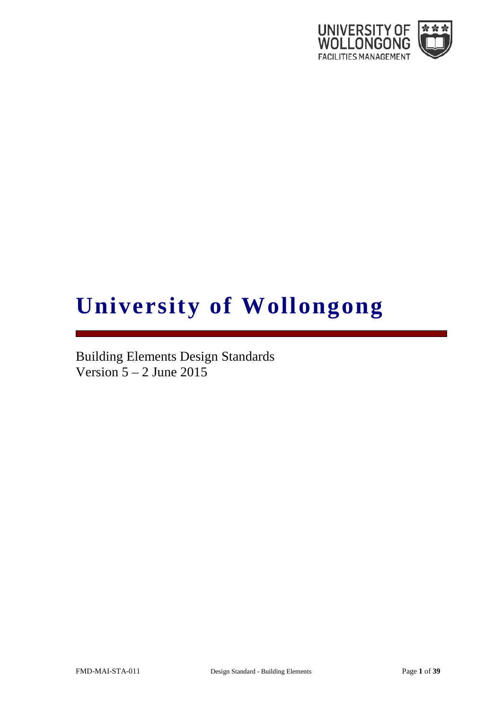

# **University of Wollongong**

Building Elements Design Standards Version  $5 - 2$  June 2015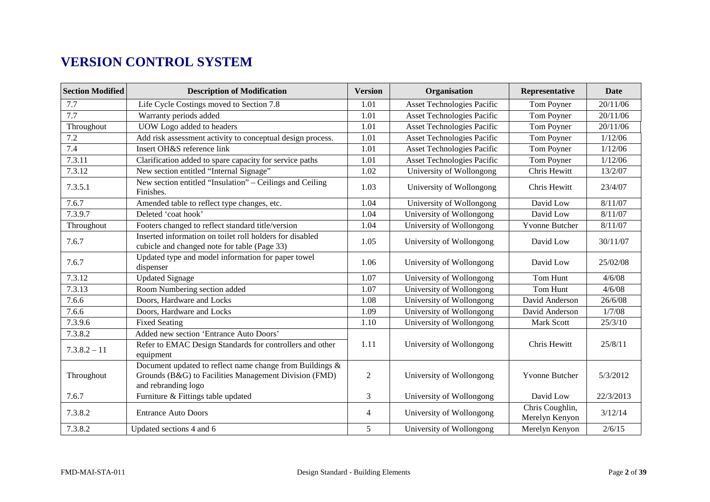# **VERSION CONTROL SYSTEM**

| <b>Section Modified</b>   | <b>Description of Modification</b>                                                                                                          | <b>Version</b> | Organisation                      | Representative                    | <b>Date</b> |
|---------------------------|---------------------------------------------------------------------------------------------------------------------------------------------|----------------|-----------------------------------|-----------------------------------|-------------|
| 7.7                       | Life Cycle Costings moved to Section 7.8                                                                                                    | 1.01           | Asset Technologies Pacific        | Tom Poyner                        | 20/11/06    |
| 7.7                       | Warranty periods added                                                                                                                      | 1.01           | <b>Asset Technologies Pacific</b> | Tom Poyner                        | 20/11/06    |
| Throughout                | UOW Logo added to headers                                                                                                                   | 1.01           | <b>Asset Technologies Pacific</b> | Tom Poyner                        | 20/11/06    |
| 7.2                       | Add risk assessment activity to conceptual design process.                                                                                  | 1.01           | <b>Asset Technologies Pacific</b> | Tom Poyner                        | 1/12/06     |
| 7.4                       | Insert OH&S reference link                                                                                                                  | 1.01           | <b>Asset Technologies Pacific</b> | Tom Poyner                        | 1/12/06     |
| 7.3.11                    | Clarification added to spare capacity for service paths                                                                                     | 1.01           | <b>Asset Technologies Pacific</b> | Tom Poyner                        | 1/12/06     |
| 7.3.12                    | New section entitled "Internal Signage"                                                                                                     | 1.02           | University of Wollongong          | Chris Hewitt                      | 13/2/07     |
| 7.3.5.1                   | New section entitled "Insulation" - Ceilings and Ceiling<br>Finishes.                                                                       | 1.03           | University of Wollongong          | Chris Hewitt                      | 23/4/07     |
| 7.6.7                     | Amended table to reflect type changes, etc.                                                                                                 | 1.04           | University of Wollongong          | David Low                         | 8/11/07     |
| 7.3.9.7                   | Deleted 'coat hook'                                                                                                                         | 1.04           | University of Wollongong          | David Low                         | 8/11/07     |
| Throughout                | Footers changed to reflect standard title/version                                                                                           | 1.04           | University of Wollongong          | Yvonne Butcher                    | 8/11/07     |
| 7.6.7                     | Inserted information on toilet roll holders for disabled<br>cubicle and changed note for table (Page 33)                                    | 1.05           | University of Wollongong          | David Low                         | 30/11/07    |
| 7.6.7                     | Updated type and model information for paper towel<br>dispenser                                                                             | 1.06           | University of Wollongong          | David Low                         | 25/02/08    |
| 7.3.12                    | <b>Updated Signage</b>                                                                                                                      | 1.07           | University of Wollongong          | Tom Hunt                          | 4/6/08      |
| 7.3.13                    | Room Numbering section added                                                                                                                | 1.07           | University of Wollongong          | Tom Hunt                          | 4/6/08      |
| 7.6.6                     | Doors, Hardware and Locks                                                                                                                   | 1.08           | University of Wollongong          | David Anderson                    | 26/6/08     |
| 7.6.6                     | Doors, Hardware and Locks                                                                                                                   | 1.09           | University of Wollongong          | David Anderson                    | 1/7/08      |
| 7.3.9.6                   | <b>Fixed Seating</b>                                                                                                                        | 1.10           | University of Wollongong          | Mark Scott                        | 25/3/10     |
| 7.3.8.2<br>$7.3.8.2 - 11$ | Added new section 'Entrance Auto Doors'<br>Refer to EMAC Design Standards for controllers and other<br>equipment                            | 1.11           | University of Wollongong          | Chris Hewitt                      | 25/8/11     |
| Throughout                | Document updated to reflect name change from Buildings $\&$<br>Grounds (B&G) to Facilities Management Division (FMD)<br>and rebranding logo | $\overline{2}$ | University of Wollongong          | <b>Yvonne Butcher</b>             | 5/3/2012    |
| 7.6.7                     | Furniture & Fittings table updated                                                                                                          | 3              | University of Wollongong          | David Low                         | 22/3/2013   |
| 7.3.8.2                   | <b>Entrance Auto Doors</b>                                                                                                                  | 4              | University of Wollongong          | Chris Coughlin,<br>Merelyn Kenyon | 3/12/14     |
| 7.3.8.2                   | Updated sections 4 and 6                                                                                                                    | 5              | University of Wollongong          | Merelyn Kenyon                    | 2/6/15      |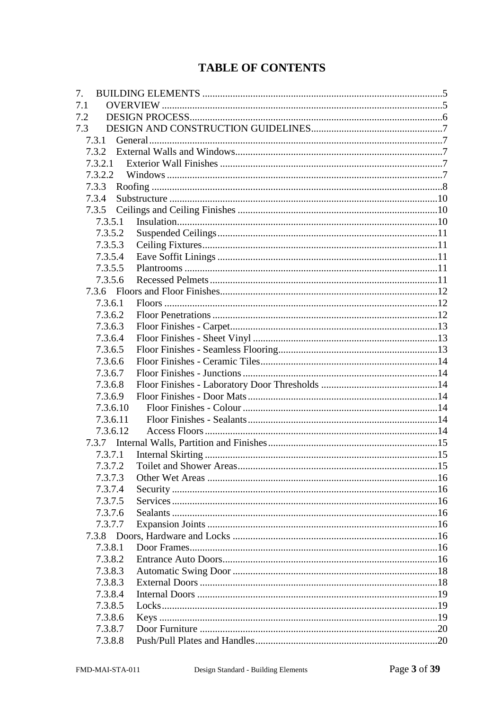# **TABLE OF CONTENTS**

| 7.1<br>7.2<br>7.3<br>7.3.1<br>7.3.2<br>7.3.2.1<br>7.3.2.2<br>7.3.3<br>7.3.4<br>7.3.5<br>7.3.5.1<br>7.3.5.2<br>7.3.5.3<br>7.3.5.4<br>7.3.5.5<br>7.3.5.6<br>7.3.6.1<br>7.3.6.2<br>7.3.6.3<br>7.3.6.4<br>7.3.6.5<br>7.3.6.6<br>7.3.6.7<br>7.3.6.8<br>7.3.6.9<br>7.3.6.10<br>7.3.6.11<br>7.3.6.12<br>7.3.7.1<br>7.3.7.2<br>7.3.7.3<br>7.3.7.4<br>7.3.7.5<br>7.3.7.6<br>7.3.7.7<br>7.3.8.1<br>7.3.8.2<br>7.3.8.3<br>7.3.8.3<br>7.3.8.4<br>7.3.8.5<br>7.3.8.6<br>7.3.8.7<br>7.3.8.8 | 7. |  |
|-------------------------------------------------------------------------------------------------------------------------------------------------------------------------------------------------------------------------------------------------------------------------------------------------------------------------------------------------------------------------------------------------------------------------------------------------------------------------------|----|--|
|                                                                                                                                                                                                                                                                                                                                                                                                                                                                               |    |  |
|                                                                                                                                                                                                                                                                                                                                                                                                                                                                               |    |  |
|                                                                                                                                                                                                                                                                                                                                                                                                                                                                               |    |  |
|                                                                                                                                                                                                                                                                                                                                                                                                                                                                               |    |  |
|                                                                                                                                                                                                                                                                                                                                                                                                                                                                               |    |  |
|                                                                                                                                                                                                                                                                                                                                                                                                                                                                               |    |  |
|                                                                                                                                                                                                                                                                                                                                                                                                                                                                               |    |  |
|                                                                                                                                                                                                                                                                                                                                                                                                                                                                               |    |  |
|                                                                                                                                                                                                                                                                                                                                                                                                                                                                               |    |  |
|                                                                                                                                                                                                                                                                                                                                                                                                                                                                               |    |  |
|                                                                                                                                                                                                                                                                                                                                                                                                                                                                               |    |  |
|                                                                                                                                                                                                                                                                                                                                                                                                                                                                               |    |  |
|                                                                                                                                                                                                                                                                                                                                                                                                                                                                               |    |  |
|                                                                                                                                                                                                                                                                                                                                                                                                                                                                               |    |  |
|                                                                                                                                                                                                                                                                                                                                                                                                                                                                               |    |  |
|                                                                                                                                                                                                                                                                                                                                                                                                                                                                               |    |  |
|                                                                                                                                                                                                                                                                                                                                                                                                                                                                               |    |  |
|                                                                                                                                                                                                                                                                                                                                                                                                                                                                               |    |  |
|                                                                                                                                                                                                                                                                                                                                                                                                                                                                               |    |  |
|                                                                                                                                                                                                                                                                                                                                                                                                                                                                               |    |  |
|                                                                                                                                                                                                                                                                                                                                                                                                                                                                               |    |  |
|                                                                                                                                                                                                                                                                                                                                                                                                                                                                               |    |  |
|                                                                                                                                                                                                                                                                                                                                                                                                                                                                               |    |  |
|                                                                                                                                                                                                                                                                                                                                                                                                                                                                               |    |  |
|                                                                                                                                                                                                                                                                                                                                                                                                                                                                               |    |  |
|                                                                                                                                                                                                                                                                                                                                                                                                                                                                               |    |  |
|                                                                                                                                                                                                                                                                                                                                                                                                                                                                               |    |  |
|                                                                                                                                                                                                                                                                                                                                                                                                                                                                               |    |  |
|                                                                                                                                                                                                                                                                                                                                                                                                                                                                               |    |  |
|                                                                                                                                                                                                                                                                                                                                                                                                                                                                               |    |  |
|                                                                                                                                                                                                                                                                                                                                                                                                                                                                               |    |  |
|                                                                                                                                                                                                                                                                                                                                                                                                                                                                               |    |  |
|                                                                                                                                                                                                                                                                                                                                                                                                                                                                               |    |  |
|                                                                                                                                                                                                                                                                                                                                                                                                                                                                               |    |  |
|                                                                                                                                                                                                                                                                                                                                                                                                                                                                               |    |  |
|                                                                                                                                                                                                                                                                                                                                                                                                                                                                               |    |  |
|                                                                                                                                                                                                                                                                                                                                                                                                                                                                               |    |  |
|                                                                                                                                                                                                                                                                                                                                                                                                                                                                               |    |  |
|                                                                                                                                                                                                                                                                                                                                                                                                                                                                               |    |  |
|                                                                                                                                                                                                                                                                                                                                                                                                                                                                               |    |  |
|                                                                                                                                                                                                                                                                                                                                                                                                                                                                               |    |  |
|                                                                                                                                                                                                                                                                                                                                                                                                                                                                               |    |  |
|                                                                                                                                                                                                                                                                                                                                                                                                                                                                               |    |  |
|                                                                                                                                                                                                                                                                                                                                                                                                                                                                               |    |  |
|                                                                                                                                                                                                                                                                                                                                                                                                                                                                               |    |  |
|                                                                                                                                                                                                                                                                                                                                                                                                                                                                               |    |  |
|                                                                                                                                                                                                                                                                                                                                                                                                                                                                               |    |  |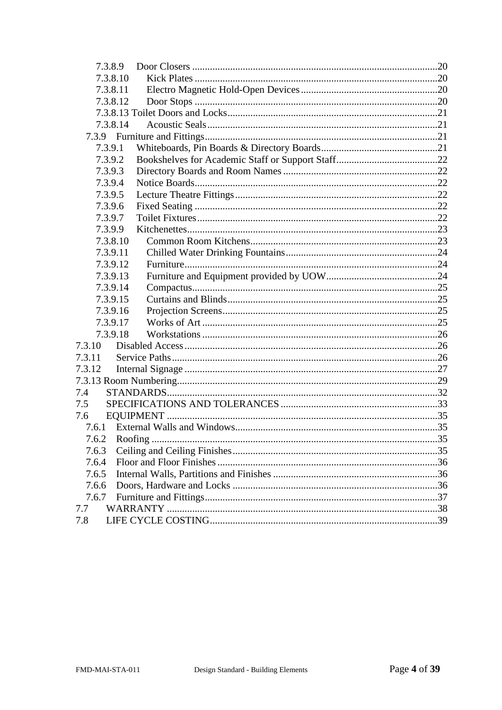| 7.3.8.9  |  |
|----------|--|
| 7.3.8.10 |  |
| 7.3.8.11 |  |
| 7.3.8.12 |  |
|          |  |
| 7.3.8.14 |  |
|          |  |
| 7.3.9.1  |  |
| 7.3.9.2  |  |
| 7.3.9.3  |  |
| 7.3.9.4  |  |
| 7.3.9.5  |  |
| 7.3.9.6  |  |
| 7.3.9.7  |  |
| 7.3.9.9  |  |
| 7.3.8.10 |  |
| 7.3.9.11 |  |
| 7.3.9.12 |  |
| 7.3.9.13 |  |
| 7.3.9.14 |  |
| 7.3.9.15 |  |
| 7.3.9.16 |  |
| 7.3.9.17 |  |
| 7.3.9.18 |  |
| 7.3.10   |  |
| 7.3.11   |  |
| 7.3.12   |  |
|          |  |
| 7.4      |  |
| 7.5      |  |
| 7.6      |  |
|          |  |
| 7.6.2    |  |
| 7.6.3    |  |
| 7.6.4    |  |
| 7.6.5    |  |
| 7.6.6    |  |
| 7.6.7    |  |
| 7.7      |  |
| 7.8      |  |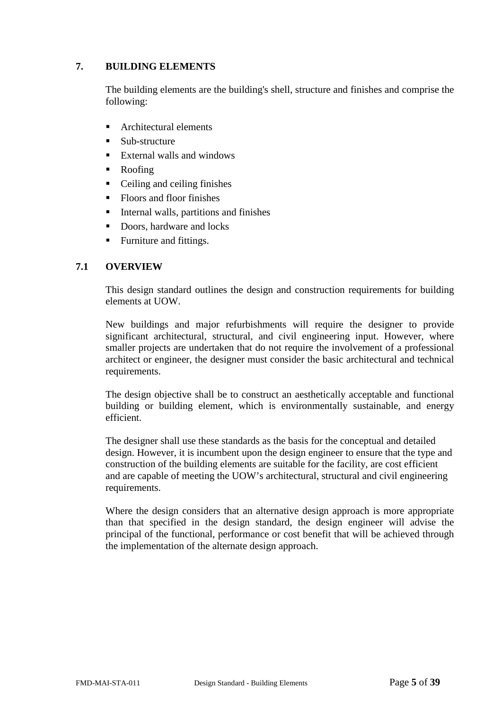# <span id="page-4-0"></span>**7. BUILDING ELEMENTS**

The building elements are the building's shell, structure and finishes and comprise the following:

- Architectural elements
- Sub-structure
- External walls and windows
- Roofing
- Ceiling and ceiling finishes
- Floors and floor finishes
- Internal walls, partitions and finishes
- Doors, hardware and locks
- Furniture and fittings.

### <span id="page-4-1"></span>**7.1 OVERVIEW**

This design standard outlines the design and construction requirements for building elements at UOW.

New buildings and major refurbishments will require the designer to provide significant architectural, structural, and civil engineering input. However, where smaller projects are undertaken that do not require the involvement of a professional architect or engineer, the designer must consider the basic architectural and technical requirements.

The design objective shall be to construct an aesthetically acceptable and functional building or building element, which is environmentally sustainable, and energy efficient.

The designer shall use these standards as the basis for the conceptual and detailed design. However, it is incumbent upon the design engineer to ensure that the type and construction of the building elements are suitable for the facility, are cost efficient and are capable of meeting the UOW's architectural, structural and civil engineering requirements.

<span id="page-4-2"></span>Where the design considers that an alternative design approach is more appropriate than that specified in the design standard, the design engineer will advise the principal of the functional, performance or cost benefit that will be achieved through the implementation of the alternate design approach.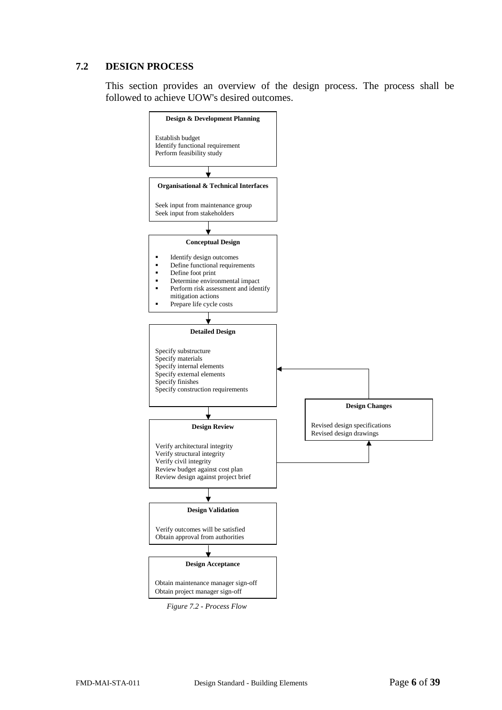# <span id="page-5-0"></span>**7.2 DESIGN PROCESS**

This section provides an overview of the design process. The process shall be followed to achieve UOW's desired outcomes.



*Figure 7.2 - Process Flow*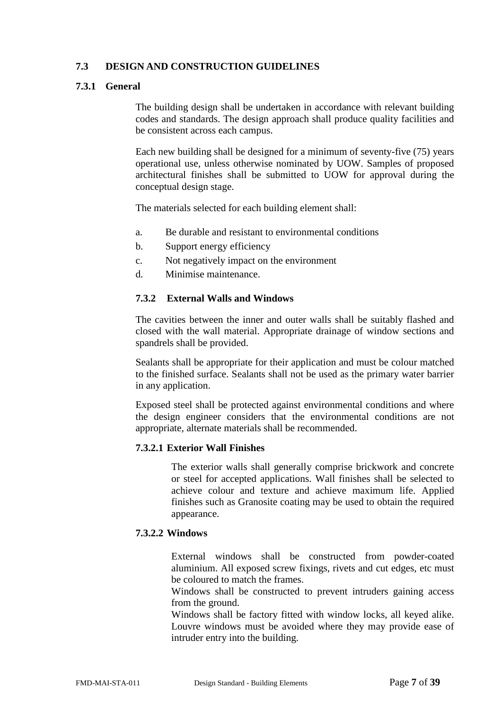# <span id="page-6-0"></span>**7.3 DESIGN AND CONSTRUCTION GUIDELINES**

# <span id="page-6-1"></span>**7.3.1 General**

The building design shall be undertaken in accordance with relevant building codes and standards. The design approach shall produce quality facilities and be consistent across each campus.

Each new building shall be designed for a minimum of seventy-five (75) years operational use, unless otherwise nominated by UOW. Samples of proposed architectural finishes shall be submitted to UOW for approval during the conceptual design stage.

The materials selected for each building element shall:

- a. Be durable and resistant to environmental conditions
- b. Support energy efficiency
- c. Not negatively impact on the environment
- d. Minimise maintenance.

# <span id="page-6-2"></span>**7.3.2 External Walls and Windows**

The cavities between the inner and outer walls shall be suitably flashed and closed with the wall material. Appropriate drainage of window sections and spandrels shall be provided.

Sealants shall be appropriate for their application and must be colour matched to the finished surface. Sealants shall not be used as the primary water barrier in any application.

Exposed steel shall be protected against environmental conditions and where the design engineer considers that the environmental conditions are not appropriate, alternate materials shall be recommended.

#### <span id="page-6-3"></span>**7.3.2.1 Exterior Wall Finishes**

The exterior walls shall generally comprise brickwork and concrete or steel for accepted applications. Wall finishes shall be selected to achieve colour and texture and achieve maximum life. Applied finishes such as Granosite coating may be used to obtain the required appearance.

# <span id="page-6-4"></span>**7.3.2.2 Windows**

External windows shall be constructed from powder-coated aluminium. All exposed screw fixings, rivets and cut edges, etc must be coloured to match the frames.

Windows shall be constructed to prevent intruders gaining access from the ground.

Windows shall be factory fitted with window locks, all keyed alike. Louvre windows must be avoided where they may provide ease of intruder entry into the building.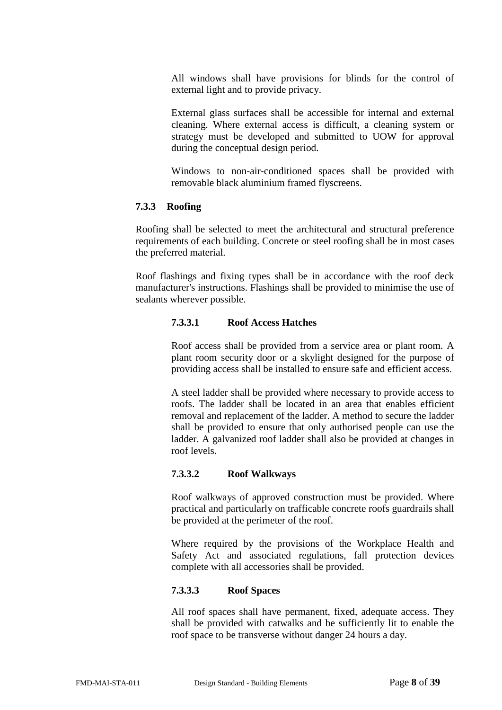All windows shall have provisions for blinds for the control of external light and to provide privacy.

External glass surfaces shall be accessible for internal and external cleaning. Where external access is difficult, a cleaning system or strategy must be developed and submitted to UOW for approval during the conceptual design period.

Windows to non-air-conditioned spaces shall be provided with removable black aluminium framed flyscreens.

#### <span id="page-7-0"></span>**7.3.3 Roofing**

Roofing shall be selected to meet the architectural and structural preference requirements of each building. Concrete or steel roofing shall be in most cases the preferred material.

Roof flashings and fixing types shall be in accordance with the roof deck manufacturer's instructions. Flashings shall be provided to minimise the use of sealants wherever possible.

#### **7.3.3.1 Roof Access Hatches**

Roof access shall be provided from a service area or plant room. A plant room security door or a skylight designed for the purpose of providing access shall be installed to ensure safe and efficient access.

A steel ladder shall be provided where necessary to provide access to roofs. The ladder shall be located in an area that enables efficient removal and replacement of the ladder. A method to secure the ladder shall be provided to ensure that only authorised people can use the ladder. A galvanized roof ladder shall also be provided at changes in roof levels.

#### **7.3.3.2 Roof Walkways**

Roof walkways of approved construction must be provided. Where practical and particularly on trafficable concrete roofs guardrails shall be provided at the perimeter of the roof.

Where required by the provisions of the Workplace Health and Safety Act and associated regulations, fall protection devices complete with all accessories shall be provided.

#### **7.3.3.3 Roof Spaces**

All roof spaces shall have permanent, fixed, adequate access. They shall be provided with catwalks and be sufficiently lit to enable the roof space to be transverse without danger 24 hours a day.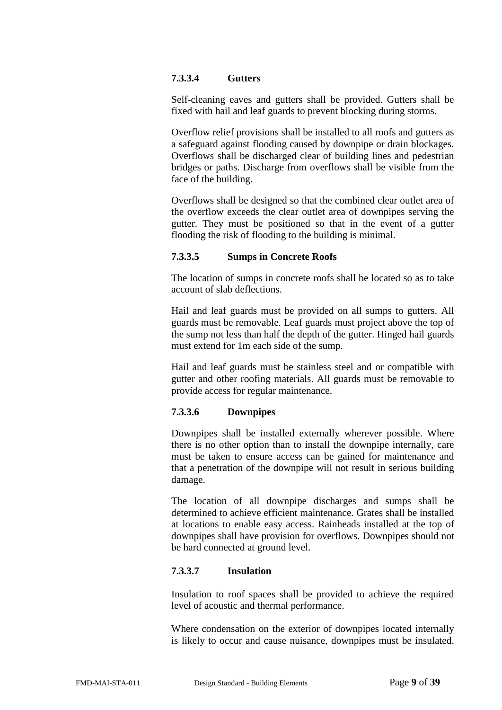# **7.3.3.4 Gutters**

Self-cleaning eaves and gutters shall be provided. Gutters shall be fixed with hail and leaf guards to prevent blocking during storms.

Overflow relief provisions shall be installed to all roofs and gutters as a safeguard against flooding caused by downpipe or drain blockages. Overflows shall be discharged clear of building lines and pedestrian bridges or paths. Discharge from overflows shall be visible from the face of the building.

Overflows shall be designed so that the combined clear outlet area of the overflow exceeds the clear outlet area of downpipes serving the gutter. They must be positioned so that in the event of a gutter flooding the risk of flooding to the building is minimal.

# **7.3.3.5 Sumps in Concrete Roofs**

The location of sumps in concrete roofs shall be located so as to take account of slab deflections.

Hail and leaf guards must be provided on all sumps to gutters. All guards must be removable. Leaf guards must project above the top of the sump not less than half the depth of the gutter. Hinged hail guards must extend for 1m each side of the sump.

Hail and leaf guards must be stainless steel and or compatible with gutter and other roofing materials. All guards must be removable to provide access for regular maintenance.

#### **7.3.3.6 Downpipes**

Downpipes shall be installed externally wherever possible. Where there is no other option than to install the downpipe internally, care must be taken to ensure access can be gained for maintenance and that a penetration of the downpipe will not result in serious building damage.

The location of all downpipe discharges and sumps shall be determined to achieve efficient maintenance. Grates shall be installed at locations to enable easy access. Rainheads installed at the top of downpipes shall have provision for overflows. Downpipes should not be hard connected at ground level.

#### **7.3.3.7 Insulation**

Insulation to roof spaces shall be provided to achieve the required level of acoustic and thermal performance.

Where condensation on the exterior of downpipes located internally is likely to occur and cause nuisance, downpipes must be insulated.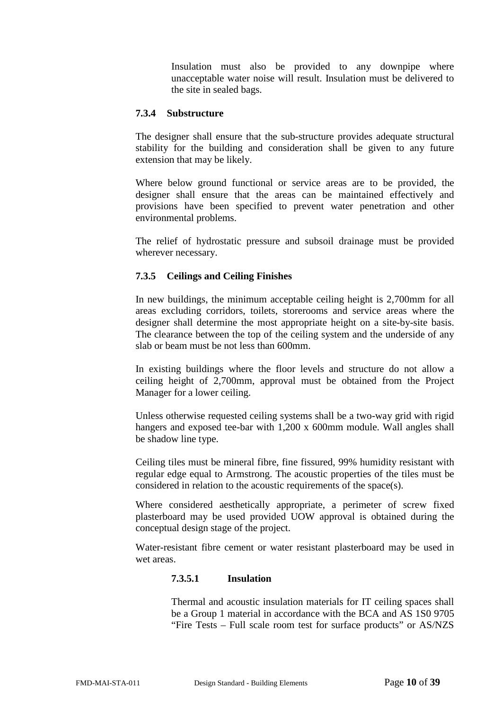Insulation must also be provided to any downpipe where unacceptable water noise will result. Insulation must be delivered to the site in sealed bags.

#### <span id="page-9-0"></span>**7.3.4 Substructure**

The designer shall ensure that the sub-structure provides adequate structural stability for the building and consideration shall be given to any future extension that may be likely.

Where below ground functional or service areas are to be provided, the designer shall ensure that the areas can be maintained effectively and provisions have been specified to prevent water penetration and other environmental problems.

The relief of hydrostatic pressure and subsoil drainage must be provided wherever necessary.

# <span id="page-9-1"></span>**7.3.5 Ceilings and Ceiling Finishes**

In new buildings, the minimum acceptable ceiling height is 2,700mm for all areas excluding corridors, toilets, storerooms and service areas where the designer shall determine the most appropriate height on a site-by-site basis. The clearance between the top of the ceiling system and the underside of any slab or beam must be not less than 600mm.

In existing buildings where the floor levels and structure do not allow a ceiling height of 2,700mm, approval must be obtained from the Project Manager for a lower ceiling.

Unless otherwise requested ceiling systems shall be a two-way grid with rigid hangers and exposed tee-bar with 1,200 x 600mm module. Wall angles shall be shadow line type.

Ceiling tiles must be mineral fibre, fine fissured, 99% humidity resistant with regular edge equal to Armstrong. The acoustic properties of the tiles must be considered in relation to the acoustic requirements of the space(s).

Where considered aesthetically appropriate, a perimeter of screw fixed plasterboard may be used provided UOW approval is obtained during the conceptual design stage of the project.

<span id="page-9-2"></span>Water-resistant fibre cement or water resistant plasterboard may be used in wet areas.

#### **7.3.5.1 Insulation**

Thermal and acoustic insulation materials for IT ceiling spaces shall be a Group 1 material in accordance with the BCA and AS 1S0 9705 "Fire Tests – Full scale room test for surface products" or AS/NZS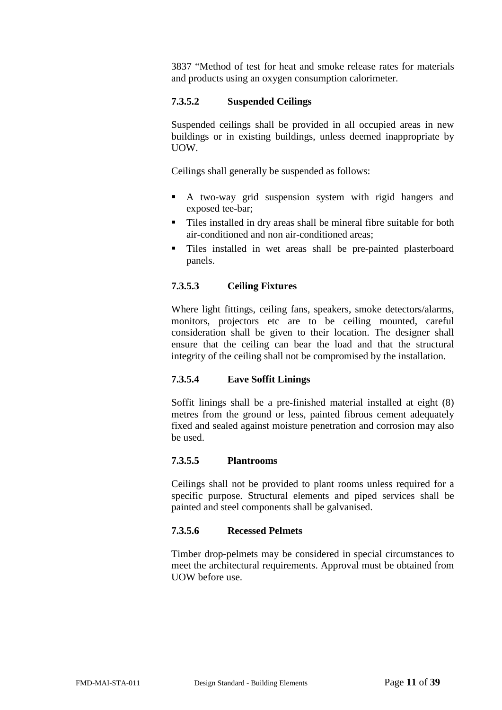3837 "Method of test for heat and smoke release rates for materials and products using an oxygen consumption calorimeter.

### <span id="page-10-0"></span>**7.3.5.2 Suspended Ceilings**

Suspended ceilings shall be provided in all occupied areas in new buildings or in existing buildings, unless deemed inappropriate by UOW.

Ceilings shall generally be suspended as follows:

- A two-way grid suspension system with rigid hangers and exposed tee-bar;
- Tiles installed in dry areas shall be mineral fibre suitable for both air-conditioned and non air-conditioned areas;
- Tiles installed in wet areas shall be pre-painted plasterboard panels.

# <span id="page-10-1"></span>**7.3.5.3 Ceiling Fixtures**

Where light fittings, ceiling fans, speakers, smoke detectors/alarms, monitors, projectors etc are to be ceiling mounted, careful consideration shall be given to their location. The designer shall ensure that the ceiling can bear the load and that the structural integrity of the ceiling shall not be compromised by the installation.

# <span id="page-10-2"></span>**7.3.5.4 Eave Soffit Linings**

Soffit linings shall be a pre-finished material installed at eight (8) metres from the ground or less, painted fibrous cement adequately fixed and sealed against moisture penetration and corrosion may also be used.

#### <span id="page-10-3"></span>**7.3.5.5 Plantrooms**

Ceilings shall not be provided to plant rooms unless required for a specific purpose. Structural elements and piped services shall be painted and steel components shall be galvanised.

#### <span id="page-10-4"></span>**7.3.5.6 Recessed Pelmets**

Timber drop-pelmets may be considered in special circumstances to meet the architectural requirements. Approval must be obtained from UOW before use.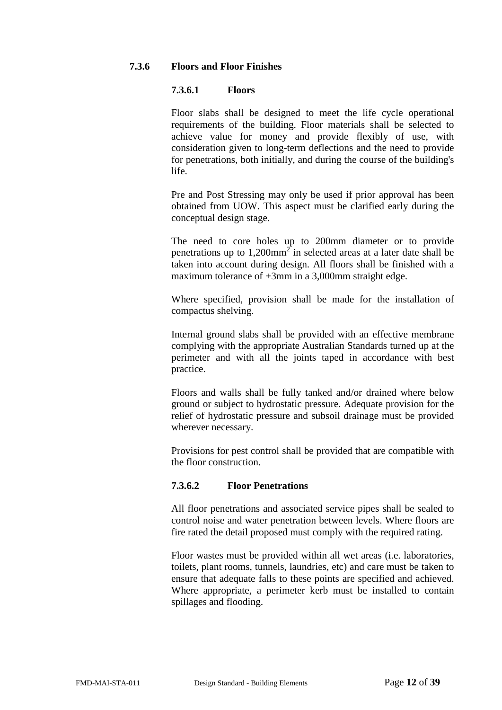### <span id="page-11-1"></span><span id="page-11-0"></span>**7.3.6 Floors and Floor Finishes**

#### **7.3.6.1 Floors**

Floor slabs shall be designed to meet the life cycle operational requirements of the building. Floor materials shall be selected to achieve value for money and provide flexibly of use, with consideration given to long-term deflections and the need to provide for penetrations, both initially, and during the course of the building's life.

Pre and Post Stressing may only be used if prior approval has been obtained from UOW. This aspect must be clarified early during the conceptual design stage.

The need to core holes up to 200mm diameter or to provide penetrations up to  $1,200$  mm<sup>2</sup> in selected areas at a later date shall be taken into account during design. All floors shall be finished with a maximum tolerance of  $+3$ mm in a 3,000mm straight edge.

Where specified, provision shall be made for the installation of compactus shelving.

Internal ground slabs shall be provided with an effective membrane complying with the appropriate Australian Standards turned up at the perimeter and with all the joints taped in accordance with best practice.

Floors and walls shall be fully tanked and/or drained where below ground or subject to hydrostatic pressure. Adequate provision for the relief of hydrostatic pressure and subsoil drainage must be provided wherever necessary.

Provisions for pest control shall be provided that are compatible with the floor construction.

#### <span id="page-11-2"></span>**7.3.6.2 Floor Penetrations**

All floor penetrations and associated service pipes shall be sealed to control noise and water penetration between levels. Where floors are fire rated the detail proposed must comply with the required rating.

Floor wastes must be provided within all wet areas (i.e. laboratories, toilets, plant rooms, tunnels, laundries, etc) and care must be taken to ensure that adequate falls to these points are specified and achieved. Where appropriate, a perimeter kerb must be installed to contain spillages and flooding.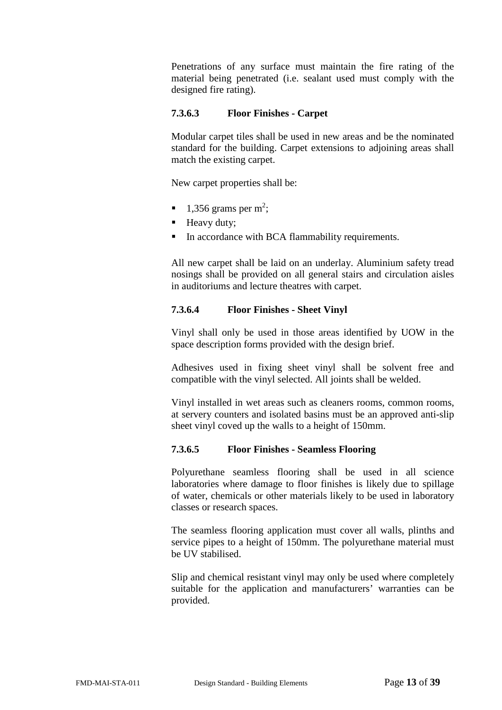Penetrations of any surface must maintain the fire rating of the material being penetrated (i.e. sealant used must comply with the designed fire rating).

# <span id="page-12-0"></span>**7.3.6.3 Floor Finishes - Carpet**

Modular carpet tiles shall be used in new areas and be the nominated standard for the building. Carpet extensions to adjoining areas shall match the existing carpet.

New carpet properties shall be:

- $\blacksquare$  1,356 grams per m<sup>2</sup>;
- **Heavy duty;**
- In accordance with BCA flammability requirements.

All new carpet shall be laid on an underlay. Aluminium safety tread nosings shall be provided on all general stairs and circulation aisles in auditoriums and lecture theatres with carpet.

### <span id="page-12-1"></span>**7.3.6.4 Floor Finishes - Sheet Vinyl**

Vinyl shall only be used in those areas identified by UOW in the space description forms provided with the design brief.

Adhesives used in fixing sheet vinyl shall be solvent free and compatible with the vinyl selected. All joints shall be welded.

Vinyl installed in wet areas such as cleaners rooms, common rooms, at servery counters and isolated basins must be an approved anti-slip sheet vinyl coved up the walls to a height of 150mm.

#### <span id="page-12-2"></span>**7.3.6.5 Floor Finishes - Seamless Flooring**

Polyurethane seamless flooring shall be used in all science laboratories where damage to floor finishes is likely due to spillage of water, chemicals or other materials likely to be used in laboratory classes or research spaces.

The seamless flooring application must cover all walls, plinths and service pipes to a height of 150mm. The polyurethane material must be UV stabilised.

Slip and chemical resistant vinyl may only be used where completely suitable for the application and manufacturers' warranties can be provided.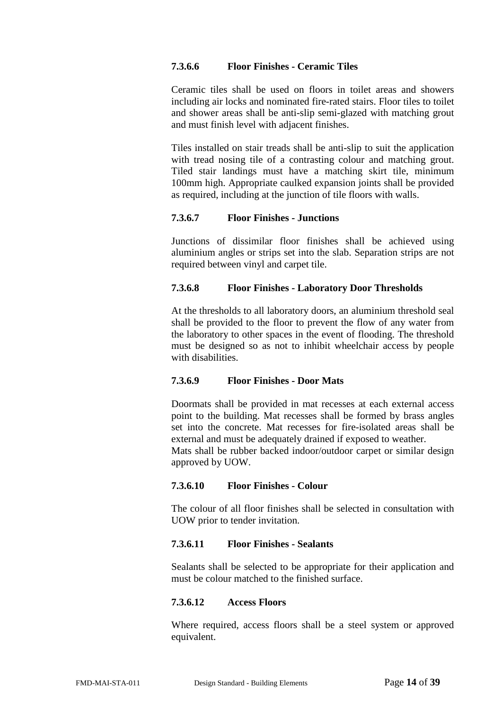# <span id="page-13-0"></span>**7.3.6.6 Floor Finishes - Ceramic Tiles**

Ceramic tiles shall be used on floors in toilet areas and showers including air locks and nominated fire-rated stairs. Floor tiles to toilet and shower areas shall be anti-slip semi-glazed with matching grout and must finish level with adjacent finishes.

Tiles installed on stair treads shall be anti-slip to suit the application with tread nosing tile of a contrasting colour and matching grout. Tiled stair landings must have a matching skirt tile, minimum 100mm high. Appropriate caulked expansion joints shall be provided as required, including at the junction of tile floors with walls.

#### <span id="page-13-1"></span>**7.3.6.7 Floor Finishes - Junctions**

Junctions of dissimilar floor finishes shall be achieved using aluminium angles or strips set into the slab. Separation strips are not required between vinyl and carpet tile.

#### <span id="page-13-2"></span>**7.3.6.8 Floor Finishes - Laboratory Door Thresholds**

At the thresholds to all laboratory doors, an aluminium threshold seal shall be provided to the floor to prevent the flow of any water from the laboratory to other spaces in the event of flooding. The threshold must be designed so as not to inhibit wheelchair access by people with disabilities.

#### <span id="page-13-3"></span>**7.3.6.9 Floor Finishes - Door Mats**

Doormats shall be provided in mat recesses at each external access point to the building. Mat recesses shall be formed by brass angles set into the concrete. Mat recesses for fire-isolated areas shall be external and must be adequately drained if exposed to weather.

Mats shall be rubber backed indoor/outdoor carpet or similar design approved by UOW.

#### <span id="page-13-4"></span>**7.3.6.10 Floor Finishes - Colour**

The colour of all floor finishes shall be selected in consultation with UOW prior to tender invitation.

#### <span id="page-13-5"></span>**7.3.6.11 Floor Finishes - Sealants**

Sealants shall be selected to be appropriate for their application and must be colour matched to the finished surface.

#### <span id="page-13-6"></span>**7.3.6.12 Access Floors**

Where required, access floors shall be a steel system or approved equivalent.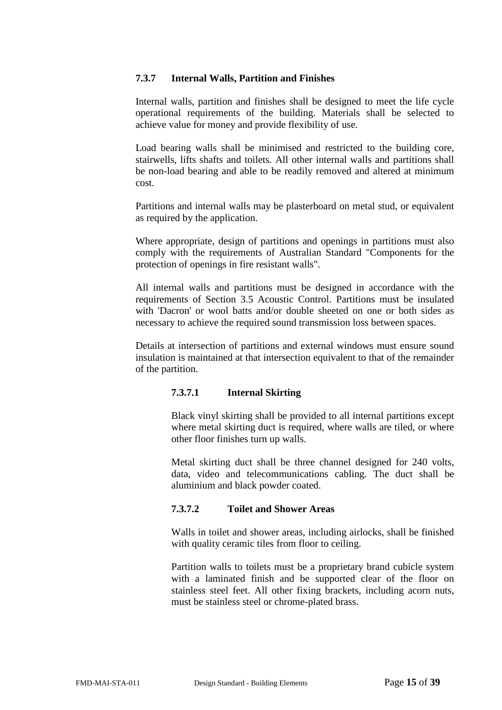#### <span id="page-14-0"></span>**7.3.7 Internal Walls, Partition and Finishes**

Internal walls, partition and finishes shall be designed to meet the life cycle operational requirements of the building. Materials shall be selected to achieve value for money and provide flexibility of use.

Load bearing walls shall be minimised and restricted to the building core, stairwells, lifts shafts and toilets. All other internal walls and partitions shall be non-load bearing and able to be readily removed and altered at minimum cost.

Partitions and internal walls may be plasterboard on metal stud, or equivalent as required by the application.

Where appropriate, design of partitions and openings in partitions must also comply with the requirements of Australian Standard "Components for the protection of openings in fire resistant walls".

All internal walls and partitions must be designed in accordance with the requirements of Section 3.5 Acoustic Control. Partitions must be insulated with 'Dacron' or wool batts and/or double sheeted on one or both sides as necessary to achieve the required sound transmission loss between spaces.

<span id="page-14-1"></span>Details at intersection of partitions and external windows must ensure sound insulation is maintained at that intersection equivalent to that of the remainder of the partition.

#### **7.3.7.1 Internal Skirting**

Black vinyl skirting shall be provided to all internal partitions except where metal skirting duct is required, where walls are tiled, or where other floor finishes turn up walls.

Metal skirting duct shall be three channel designed for 240 volts, data, video and telecommunications cabling. The duct shall be aluminium and black powder coated.

# <span id="page-14-2"></span>**7.3.7.2 Toilet and Shower Areas**

Walls in toilet and shower areas, including airlocks, shall be finished with quality ceramic tiles from floor to ceiling.

Partition walls to toilets must be a proprietary brand cubicle system with a laminated finish and be supported clear of the floor on stainless steel feet. All other fixing brackets, including acorn nuts, must be stainless steel or chrome-plated brass.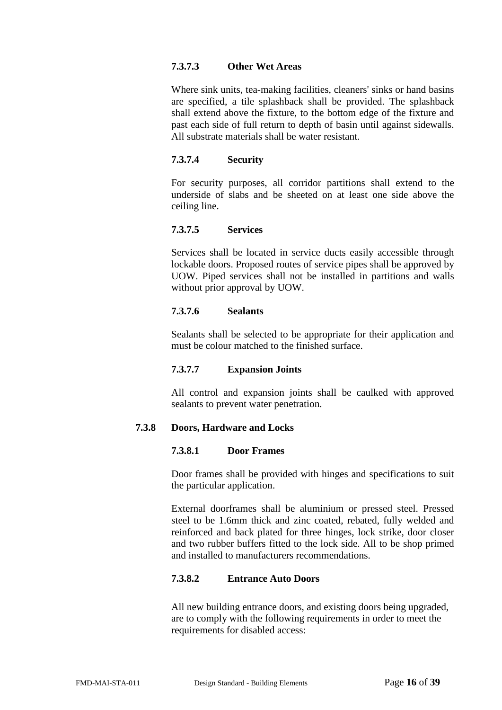#### <span id="page-15-0"></span>**7.3.7.3 Other Wet Areas**

Where sink units, tea-making facilities, cleaners' sinks or hand basins are specified, a tile splashback shall be provided. The splashback shall extend above the fixture, to the bottom edge of the fixture and past each side of full return to depth of basin until against sidewalls. All substrate materials shall be water resistant.

#### <span id="page-15-1"></span>**7.3.7.4 Security**

For security purposes, all corridor partitions shall extend to the underside of slabs and be sheeted on at least one side above the ceiling line.

### <span id="page-15-2"></span>**7.3.7.5 Services**

Services shall be located in service ducts easily accessible through lockable doors. Proposed routes of service pipes shall be approved by UOW. Piped services shall not be installed in partitions and walls without prior approval by UOW.

### <span id="page-15-3"></span>**7.3.7.6 Sealants**

Sealants shall be selected to be appropriate for their application and must be colour matched to the finished surface.

# **7.3.7.7 Expansion Joints**

All control and expansion joints shall be caulked with approved sealants to prevent water penetration.

# <span id="page-15-6"></span><span id="page-15-5"></span><span id="page-15-4"></span>**7.3.8 Doors, Hardware and Locks**

#### **7.3.8.1 Door Frames**

Door frames shall be provided with hinges and specifications to suit the particular application.

External doorframes shall be aluminium or pressed steel. Pressed steel to be 1.6mm thick and zinc coated, rebated, fully welded and reinforced and back plated for three hinges, lock strike, door closer and two rubber buffers fitted to the lock side. All to be shop primed and installed to manufacturers recommendations.

# <span id="page-15-7"></span>**7.3.8.2 Entrance Auto Doors**

All new building entrance doors, and existing doors being upgraded, are to comply with the following requirements in order to meet the requirements for disabled access: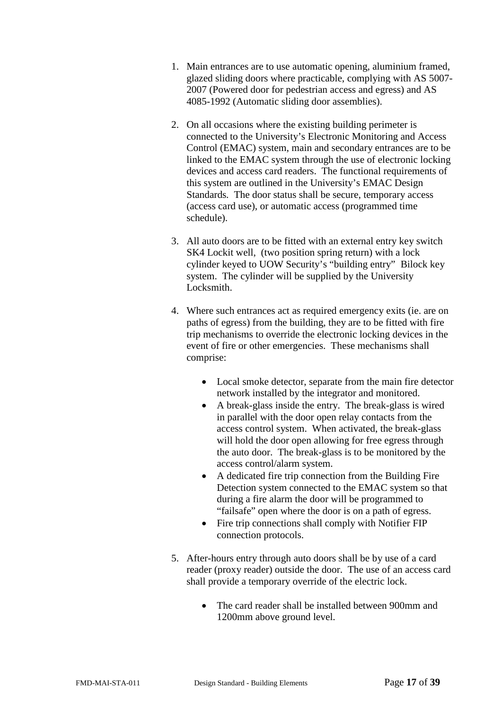- 1. Main entrances are to use automatic opening, aluminium framed, glazed sliding doors where practicable, complying with AS 5007- 2007 (Powered door for pedestrian access and egress) and AS 4085-1992 (Automatic sliding door assemblies).
- 2. On all occasions where the existing building perimeter is connected to the University's Electronic Monitoring and Access Control (EMAC) system, main and secondary entrances are to be linked to the EMAC system through the use of electronic locking devices and access card readers. The functional requirements of this system are outlined in the University's EMAC Design Standards*.* The door status shall be secure, temporary access (access card use), or automatic access (programmed time schedule).
- 3. All auto doors are to be fitted with an external entry key switch SK4 Lockit well, (two position spring return) with a lock cylinder keyed to UOW Security's "building entry" Bilock key system. The cylinder will be supplied by the University Locksmith.
- 4. Where such entrances act as required emergency exits (ie. are on paths of egress) from the building, they are to be fitted with fire trip mechanisms to override the electronic locking devices in the event of fire or other emergencies. These mechanisms shall comprise:
	- Local smoke detector, separate from the main fire detector network installed by the integrator and monitored.
	- A break-glass inside the entry. The break-glass is wired in parallel with the door open relay contacts from the access control system. When activated, the break-glass will hold the door open allowing for free egress through the auto door. The break-glass is to be monitored by the access control/alarm system.
	- A dedicated fire trip connection from the Building Fire Detection system connected to the EMAC system so that during a fire alarm the door will be programmed to "failsafe" open where the door is on a path of egress.
	- Fire trip connections shall comply with Notifier FIP connection protocols.
- 5. After-hours entry through auto doors shall be by use of a card reader (proxy reader) outside the door. The use of an access card shall provide a temporary override of the electric lock.
	- The card reader shall be installed between 900mm and 1200mm above ground level.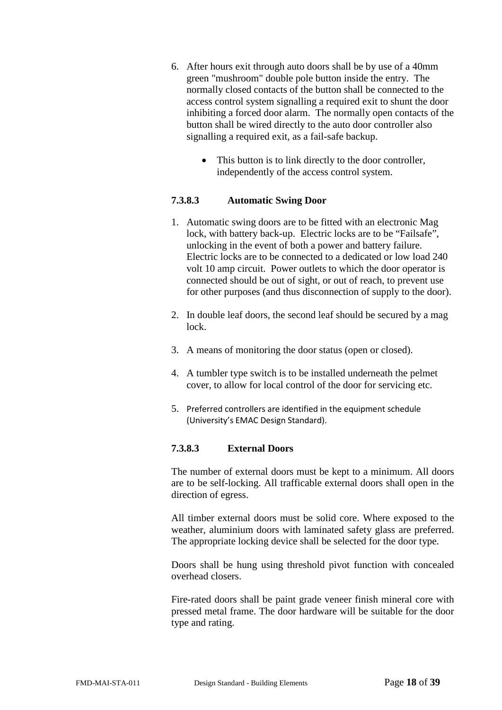- 6. After hours exit through auto doors shall be by use of a 40mm green "mushroom" double pole button inside the entry. The normally closed contacts of the button shall be connected to the access control system signalling a required exit to shunt the door inhibiting a forced door alarm. The normally open contacts of the button shall be wired directly to the auto door controller also signalling a required exit, as a fail-safe backup.
	- This button is to link directly to the door controller, independently of the access control system.

### <span id="page-17-0"></span>**7.3.8.3 Automatic Swing Door**

- 1. Automatic swing doors are to be fitted with an electronic Mag lock, with battery back-up. Electric locks are to be "Failsafe", unlocking in the event of both a power and battery failure. Electric locks are to be connected to a dedicated or low load 240 volt 10 amp circuit. Power outlets to which the door operator is connected should be out of sight, or out of reach, to prevent use for other purposes (and thus disconnection of supply to the door).
- 2. In double leaf doors, the second leaf should be secured by a mag lock.
- 3. A means of monitoring the door status (open or closed).
- 4. A tumbler type switch is to be installed underneath the pelmet cover, to allow for local control of the door for servicing etc.
- 5. Preferred controllers are identified in the equipment schedule (University's EMAC Design Standard).

# <span id="page-17-1"></span>**7.3.8.3 External Doors**

The number of external doors must be kept to a minimum. All doors are to be self-locking. All trafficable external doors shall open in the direction of egress.

All timber external doors must be solid core. Where exposed to the weather, aluminium doors with laminated safety glass are preferred. The appropriate locking device shall be selected for the door type.

Doors shall be hung using threshold pivot function with concealed overhead closers.

Fire-rated doors shall be paint grade veneer finish mineral core with pressed metal frame. The door hardware will be suitable for the door type and rating.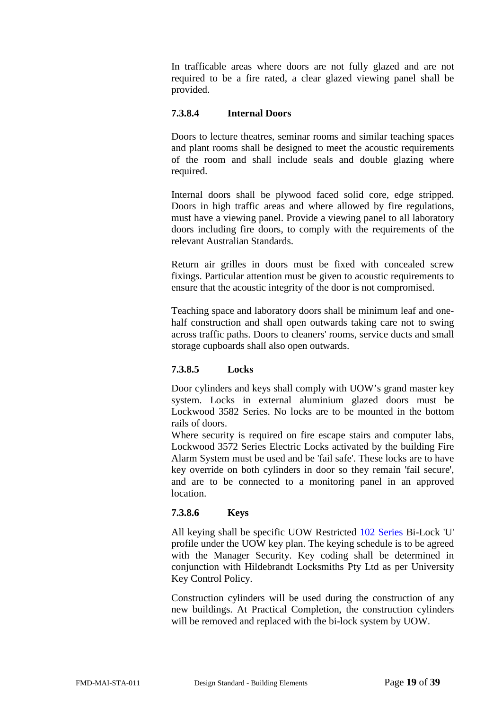In trafficable areas where doors are not fully glazed and are not required to be a fire rated, a clear glazed viewing panel shall be provided.

### <span id="page-18-0"></span>**7.3.8.4 Internal Doors**

Doors to lecture theatres, seminar rooms and similar teaching spaces and plant rooms shall be designed to meet the acoustic requirements of the room and shall include seals and double glazing where required.

Internal doors shall be plywood faced solid core, edge stripped. Doors in high traffic areas and where allowed by fire regulations, must have a viewing panel. Provide a viewing panel to all laboratory doors including fire doors, to comply with the requirements of the relevant Australian Standards.

Return air grilles in doors must be fixed with concealed screw fixings. Particular attention must be given to acoustic requirements to ensure that the acoustic integrity of the door is not compromised.

Teaching space and laboratory doors shall be minimum leaf and onehalf construction and shall open outwards taking care not to swing across traffic paths. Doors to cleaners' rooms, service ducts and small storage cupboards shall also open outwards.

# <span id="page-18-1"></span>**7.3.8.5 Locks**

Door cylinders and keys shall comply with UOW's grand master key system. Locks in external aluminium glazed doors must be Lockwood 3582 Series. No locks are to be mounted in the bottom rails of doors.

Where security is required on fire escape stairs and computer labs, Lockwood 3572 Series Electric Locks activated by the building Fire Alarm System must be used and be 'fail safe'. These locks are to have key override on both cylinders in door so they remain 'fail secure', and are to be connected to a monitoring panel in an approved location.

#### <span id="page-18-2"></span>**7.3.8.6 Keys**

All keying shall be specific UOW Restricted 102 Series Bi-Lock 'U' profile under the UOW key plan. The keying schedule is to be agreed with the Manager Security. Key coding shall be determined in conjunction with Hildebrandt Locksmiths Pty Ltd as per University Key Control Policy.

Construction cylinders will be used during the construction of any new buildings. At Practical Completion, the construction cylinders will be removed and replaced with the bi-lock system by UOW.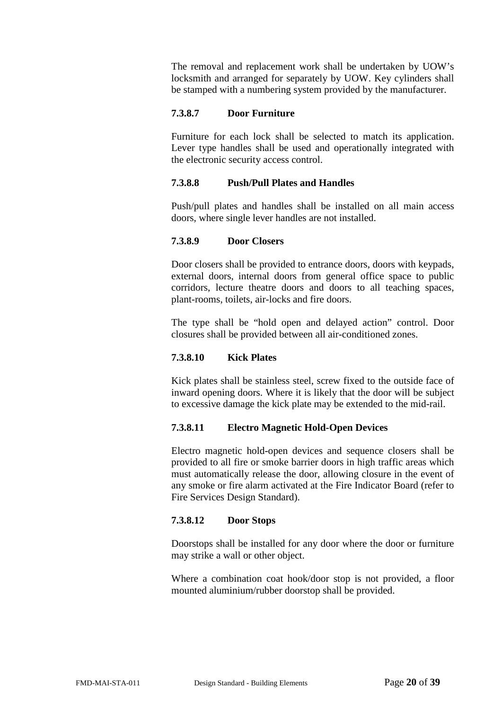The removal and replacement work shall be undertaken by UOW's locksmith and arranged for separately by UOW. Key cylinders shall be stamped with a numbering system provided by the manufacturer.

# <span id="page-19-0"></span>**7.3.8.7 Door Furniture**

Furniture for each lock shall be selected to match its application. Lever type handles shall be used and operationally integrated with the electronic security access control.

### <span id="page-19-1"></span>**7.3.8.8 Push/Pull Plates and Handles**

Push/pull plates and handles shall be installed on all main access doors, where single lever handles are not installed.

### <span id="page-19-2"></span>**7.3.8.9 Door Closers**

Door closers shall be provided to entrance doors, doors with keypads, external doors, internal doors from general office space to public corridors, lecture theatre doors and doors to all teaching spaces, plant-rooms, toilets, air-locks and fire doors.

The type shall be "hold open and delayed action" control. Door closures shall be provided between all air-conditioned zones.

#### <span id="page-19-3"></span>**7.3.8.10 Kick Plates**

Kick plates shall be stainless steel, screw fixed to the outside face of inward opening doors. Where it is likely that the door will be subject to excessive damage the kick plate may be extended to the mid-rail.

#### <span id="page-19-4"></span>**7.3.8.11 Electro Magnetic Hold-Open Devices**

Electro magnetic hold-open devices and sequence closers shall be provided to all fire or smoke barrier doors in high traffic areas which must automatically release the door, allowing closure in the event of any smoke or fire alarm activated at the Fire Indicator Board (refer to Fire Services Design Standard).

# <span id="page-19-5"></span>**7.3.8.12 Door Stops**

Doorstops shall be installed for any door where the door or furniture may strike a wall or other object.

Where a combination coat hook/door stop is not provided, a floor mounted aluminium/rubber doorstop shall be provided.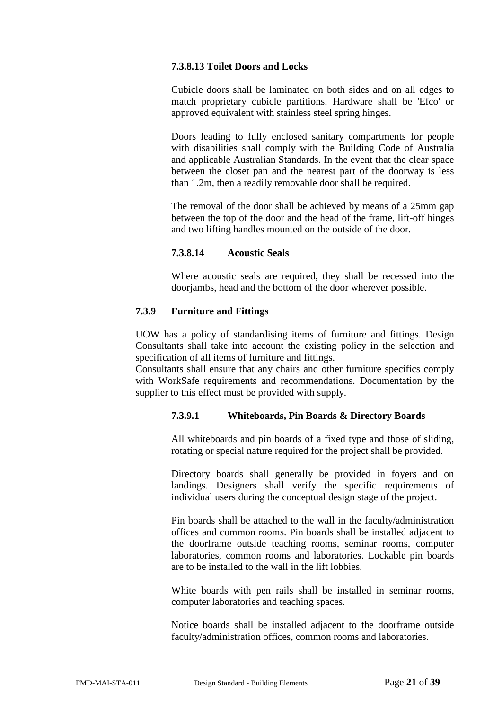# <span id="page-20-0"></span>**7.3.8.13 Toilet Doors and Locks**

Cubicle doors shall be laminated on both sides and on all edges to match proprietary cubicle partitions. Hardware shall be 'Efco' or approved equivalent with stainless steel spring hinges.

Doors leading to fully enclosed sanitary compartments for people with disabilities shall comply with the Building Code of Australia and applicable Australian Standards. In the event that the clear space between the closet pan and the nearest part of the doorway is less than 1.2m, then a readily removable door shall be required.

The removal of the door shall be achieved by means of a 25mm gap between the top of the door and the head of the frame, lift-off hinges and two lifting handles mounted on the outside of the door.

### **7.3.8.14 Acoustic Seals**

Where acoustic seals are required, they shall be recessed into the doorjambs, head and the bottom of the door wherever possible.

### <span id="page-20-2"></span><span id="page-20-1"></span>**7.3.9 Furniture and Fittings**

UOW has a policy of standardising items of furniture and fittings. Design Consultants shall take into account the existing policy in the selection and specification of all items of furniture and fittings.

<span id="page-20-3"></span>Consultants shall ensure that any chairs and other furniture specifics comply with WorkSafe requirements and recommendations. Documentation by the supplier to this effect must be provided with supply.

#### **7.3.9.1 Whiteboards, Pin Boards & Directory Boards**

All whiteboards and pin boards of a fixed type and those of sliding, rotating or special nature required for the project shall be provided.

Directory boards shall generally be provided in foyers and on landings. Designers shall verify the specific requirements of individual users during the conceptual design stage of the project.

Pin boards shall be attached to the wall in the faculty/administration offices and common rooms. Pin boards shall be installed adjacent to the doorframe outside teaching rooms, seminar rooms, computer laboratories, common rooms and laboratories. Lockable pin boards are to be installed to the wall in the lift lobbies.

White boards with pen rails shall be installed in seminar rooms, computer laboratories and teaching spaces.

Notice boards shall be installed adjacent to the doorframe outside faculty/administration offices, common rooms and laboratories.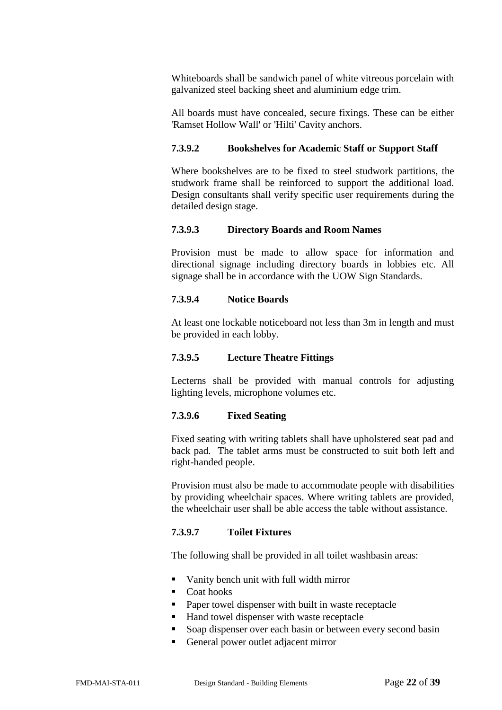Whiteboards shall be sandwich panel of white vitreous porcelain with galvanized steel backing sheet and aluminium edge trim.

All boards must have concealed, secure fixings. These can be either 'Ramset Hollow Wall' or 'Hilti' Cavity anchors.

#### <span id="page-21-0"></span>**7.3.9.2 Bookshelves for Academic Staff or Support Staff**

Where bookshelves are to be fixed to steel studwork partitions, the studwork frame shall be reinforced to support the additional load. Design consultants shall verify specific user requirements during the detailed design stage.

#### <span id="page-21-1"></span>**7.3.9.3 Directory Boards and Room Names**

Provision must be made to allow space for information and directional signage including directory boards in lobbies etc. All signage shall be in accordance with the UOW Sign Standards.

#### <span id="page-21-2"></span>**7.3.9.4 Notice Boards**

At least one lockable noticeboard not less than 3m in length and must be provided in each lobby.

#### <span id="page-21-3"></span>**7.3.9.5 Lecture Theatre Fittings**

Lecterns shall be provided with manual controls for adjusting lighting levels, microphone volumes etc.

#### <span id="page-21-4"></span>**7.3.9.6 Fixed Seating**

Fixed seating with writing tablets shall have upholstered seat pad and back pad. The tablet arms must be constructed to suit both left and right-handed people.

Provision must also be made to accommodate people with disabilities by providing wheelchair spaces. Where writing tablets are provided, the wheelchair user shall be able access the table without assistance.

#### <span id="page-21-5"></span>**7.3.9.7 Toilet Fixtures**

The following shall be provided in all toilet washbasin areas:

- Vanity bench unit with full width mirror
- Coat hooks
- **Paper towel dispenser with built in waste receptacle**
- Hand towel dispenser with waste receptacle
- Soap dispenser over each basin or between every second basin
- General power outlet adjacent mirror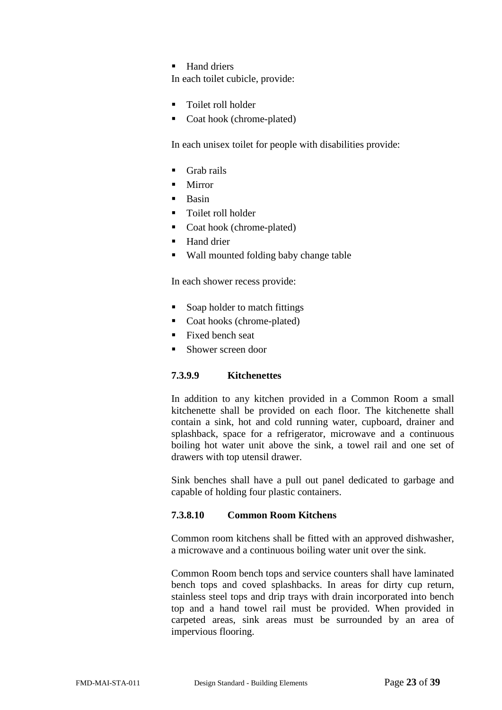$\blacksquare$  Hand driers

In each toilet cubicle, provide:

- Toilet roll holder
- Coat hook (chrome-plated)

In each unisex toilet for people with disabilities provide:

- Grab rails
- **Mirror**
- **Basin**
- **Toilet roll holder**
- Coat hook (chrome-plated)
- Hand drier
- Wall mounted folding baby change table

In each shower recess provide:

- Soap holder to match fittings
- Coat hooks (chrome-plated)
- Fixed bench seat
- Shower screen door

# <span id="page-22-0"></span>**7.3.9.9 Kitchenettes**

In addition to any kitchen provided in a Common Room a small kitchenette shall be provided on each floor. The kitchenette shall contain a sink, hot and cold running water, cupboard, drainer and splashback, space for a refrigerator, microwave and a continuous boiling hot water unit above the sink, a towel rail and one set of drawers with top utensil drawer.

Sink benches shall have a pull out panel dedicated to garbage and capable of holding four plastic containers.

# <span id="page-22-1"></span>**7.3.8.10 Common Room Kitchens**

Common room kitchens shall be fitted with an approved dishwasher, a microwave and a continuous boiling water unit over the sink.

Common Room bench tops and service counters shall have laminated bench tops and coved splashbacks. In areas for dirty cup return, stainless steel tops and drip trays with drain incorporated into bench top and a hand towel rail must be provided. When provided in carpeted areas, sink areas must be surrounded by an area of impervious flooring.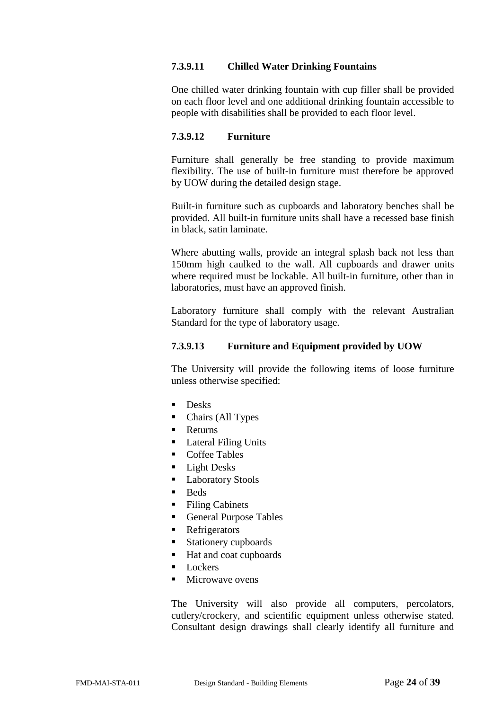# <span id="page-23-0"></span>**7.3.9.11 Chilled Water Drinking Fountains**

One chilled water drinking fountain with cup filler shall be provided on each floor level and one additional drinking fountain accessible to people with disabilities shall be provided to each floor level.

#### <span id="page-23-1"></span>**7.3.9.12 Furniture**

Furniture shall generally be free standing to provide maximum flexibility. The use of built-in furniture must therefore be approved by UOW during the detailed design stage.

Built-in furniture such as cupboards and laboratory benches shall be provided. All built-in furniture units shall have a recessed base finish in black, satin laminate.

Where abutting walls, provide an integral splash back not less than 150mm high caulked to the wall. All cupboards and drawer units where required must be lockable. All built-in furniture, other than in laboratories, must have an approved finish.

Laboratory furniture shall comply with the relevant Australian Standard for the type of laboratory usage.

### <span id="page-23-2"></span>**7.3.9.13 Furniture and Equipment provided by UOW**

The University will provide the following items of loose furniture unless otherwise specified:

- **Desks**
- Chairs (All Types
- Returns
- Lateral Filing Units
- Coffee Tables
- **Light Desks**
- **Laboratory Stools**
- **Beds**
- Filing Cabinets
- General Purpose Tables
- **Refrigerators**
- Stationery cupboards
- Hat and coat cupboards
- **Lockers**
- $\blacksquare$  Microwave ovens

The University will also provide all computers, percolators, cutlery/crockery, and scientific equipment unless otherwise stated. Consultant design drawings shall clearly identify all furniture and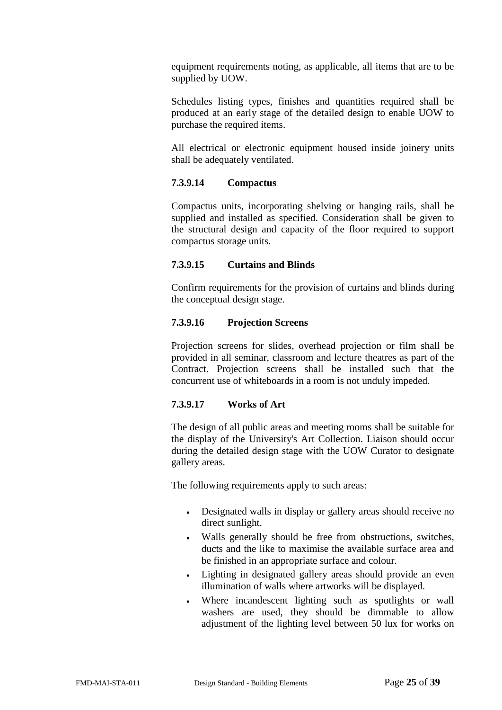equipment requirements noting, as applicable, all items that are to be supplied by UOW.

Schedules listing types, finishes and quantities required shall be produced at an early stage of the detailed design to enable UOW to purchase the required items.

All electrical or electronic equipment housed inside joinery units shall be adequately ventilated.

# <span id="page-24-0"></span>**7.3.9.14 Compactus**

Compactus units, incorporating shelving or hanging rails, shall be supplied and installed as specified. Consideration shall be given to the structural design and capacity of the floor required to support compactus storage units.

# <span id="page-24-1"></span>**7.3.9.15 Curtains and Blinds**

Confirm requirements for the provision of curtains and blinds during the conceptual design stage.

# <span id="page-24-2"></span>**7.3.9.16 Projection Screens**

Projection screens for slides, overhead projection or film shall be provided in all seminar, classroom and lecture theatres as part of the Contract. Projection screens shall be installed such that the concurrent use of whiteboards in a room is not unduly impeded.

# <span id="page-24-3"></span>**7.3.9.17 Works of Art**

The design of all public areas and meeting rooms shall be suitable for the display of the University's Art Collection. Liaison should occur during the detailed design stage with the UOW Curator to designate gallery areas.

The following requirements apply to such areas:

- Designated walls in display or gallery areas should receive no direct sunlight.
- Walls generally should be free from obstructions, switches, ducts and the like to maximise the available surface area and be finished in an appropriate surface and colour.
- Lighting in designated gallery areas should provide an even illumination of walls where artworks will be displayed.
- Where incandescent lighting such as spotlights or wall washers are used, they should be dimmable to allow adjustment of the lighting level between 50 lux for works on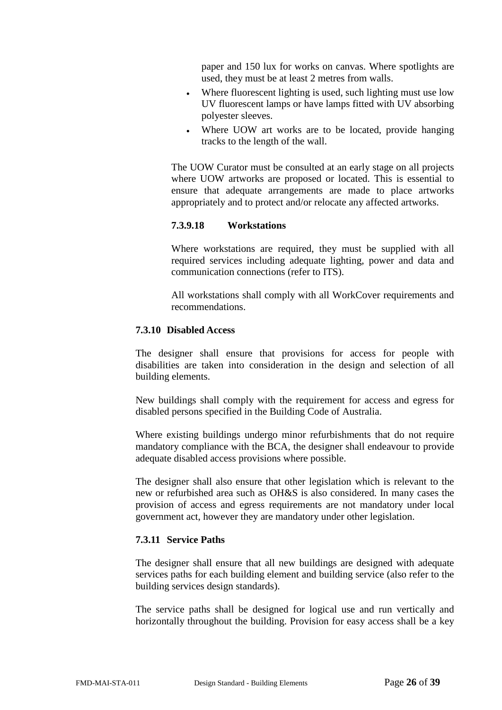paper and 150 lux for works on canvas. Where spotlights are used, they must be at least 2 metres from walls.

- Where fluorescent lighting is used, such lighting must use low UV fluorescent lamps or have lamps fitted with UV absorbing polyester sleeves.
- Where UOW art works are to be located, provide hanging tracks to the length of the wall.

The UOW Curator must be consulted at an early stage on all projects where UOW artworks are proposed or located. This is essential to ensure that adequate arrangements are made to place artworks appropriately and to protect and/or relocate any affected artworks.

#### <span id="page-25-0"></span>**7.3.9.18 Workstations**

Where workstations are required, they must be supplied with all required services including adequate lighting, power and data and communication connections (refer to ITS).

All workstations shall comply with all WorkCover requirements and recommendations.

#### <span id="page-25-1"></span>**7.3.10 Disabled Access**

The designer shall ensure that provisions for access for people with disabilities are taken into consideration in the design and selection of all building elements.

New buildings shall comply with the requirement for access and egress for disabled persons specified in the Building Code of Australia.

Where existing buildings undergo minor refurbishments that do not require mandatory compliance with the BCA, the designer shall endeavour to provide adequate disabled access provisions where possible.

The designer shall also ensure that other legislation which is relevant to the new or refurbished area such as OH&S is also considered. In many cases the provision of access and egress requirements are not mandatory under local government act, however they are mandatory under other legislation.

#### <span id="page-25-2"></span>**7.3.11 Service Paths**

The designer shall ensure that all new buildings are designed with adequate services paths for each building element and building service (also refer to the building services design standards).

The service paths shall be designed for logical use and run vertically and horizontally throughout the building. Provision for easy access shall be a key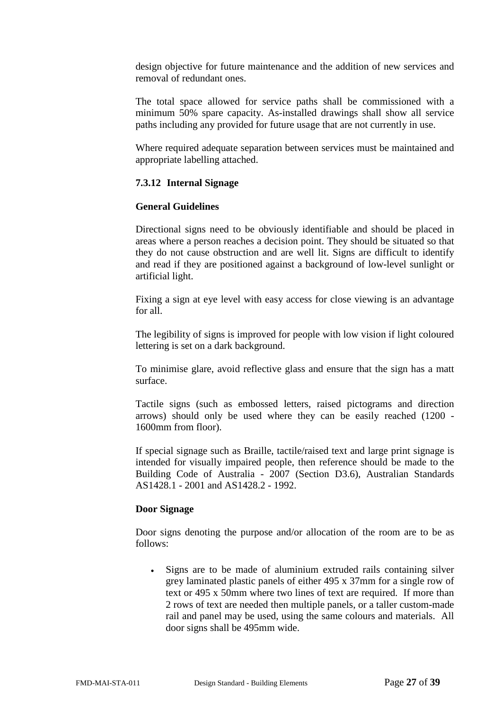design objective for future maintenance and the addition of new services and removal of redundant ones.

The total space allowed for service paths shall be commissioned with a minimum 50% spare capacity. As-installed drawings shall show all service paths including any provided for future usage that are not currently in use.

Where required adequate separation between services must be maintained and appropriate labelling attached.

# <span id="page-26-0"></span>**7.3.12 Internal Signage**

### **General Guidelines**

Directional signs need to be obviously identifiable and should be placed in areas where a person reaches a decision point. They should be situated so that they do not cause obstruction and are well lit. Signs are difficult to identify and read if they are positioned against a background of low-level sunlight or artificial light.

Fixing a sign at eye level with easy access for close viewing is an advantage for all.

The legibility of signs is improved for people with low vision if light coloured lettering is set on a dark background.

To minimise glare, avoid reflective glass and ensure that the sign has a matt surface.

Tactile signs (such as embossed letters, raised pictograms and direction arrows) should only be used where they can be easily reached (1200 - 1600mm from floor).

If special signage such as Braille, tactile/raised text and large print signage is intended for visually impaired people, then reference should be made to the Building Code of Australia - 2007 (Section D3.6), Australian Standards AS1428.1 - 2001 and AS1428.2 - 1992.

#### **Door Signage**

Door signs denoting the purpose and/or allocation of the room are to be as follows:

• Signs are to be made of aluminium extruded rails containing silver grey laminated plastic panels of either 495 x 37mm for a single row of text or 495 x 50mm where two lines of text are required. If more than 2 rows of text are needed then multiple panels, or a taller custom-made rail and panel may be used, using the same colours and materials. All door signs shall be 495mm wide.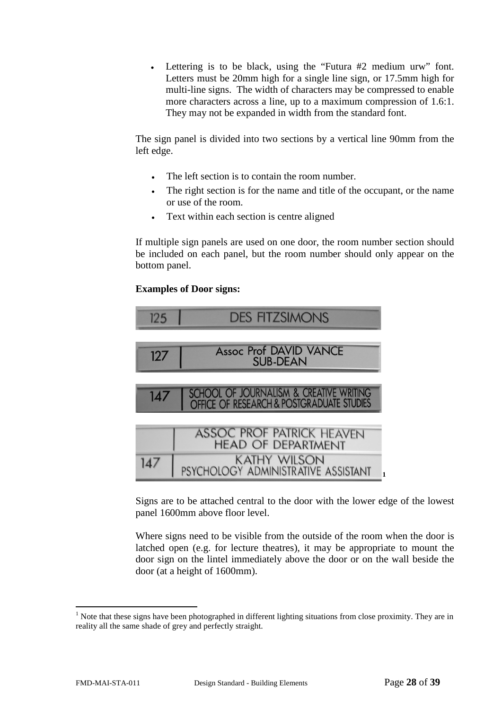• Lettering is to be black, using the "Futura #2 medium urw" font. Letters must be 20mm high for a single line sign, or 17.5mm high for multi-line signs. The width of characters may be compressed to enable more characters across a line, up to a maximum compression of 1.6:1. They may not be expanded in width from the standard font.

The sign panel is divided into two sections by a vertical line 90mm from the left edge.

- The left section is to contain the room number.
- The right section is for the name and title of the occupant, or the name or use of the room.
- Text within each section is centre aligned

If multiple sign panels are used on one door, the room number section should be included on each panel, but the room number should only appear on the bottom panel.

### **Examples of Door signs:**



Signs are to be attached central to the door with the lower edge of the lowest panel 1600mm above floor level.

Where signs need to be visible from the outside of the room when the door is latched open (e.g. for lecture theatres), it may be appropriate to mount the door sign on the lintel immediately above the door or on the wall beside the door (at a height of 1600mm).

<sup>&</sup>lt;sup>1</sup> Note that these signs have been photographed in different lighting situations from close proximity. They are in reality all the same shade of grey and perfectly straight.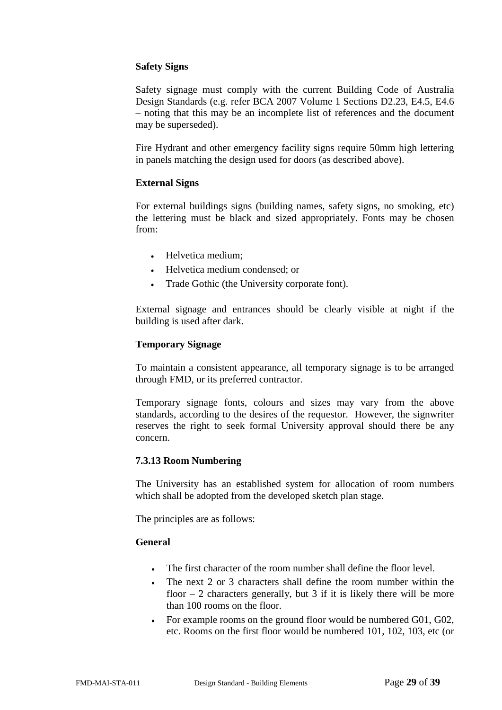# **Safety Signs**

Safety signage must comply with the current Building Code of Australia Design Standards (e.g. refer BCA 2007 Volume 1 Sections D2.23, E4.5, E4.6 – noting that this may be an incomplete list of references and the document may be superseded).

Fire Hydrant and other emergency facility signs require 50mm high lettering in panels matching the design used for doors (as described above).

### **External Signs**

For external buildings signs (building names, safety signs, no smoking, etc) the lettering must be black and sized appropriately. Fonts may be chosen from:

- Helvetica medium;
- Helvetica medium condensed; or
- Trade Gothic (the University corporate font).

External signage and entrances should be clearly visible at night if the building is used after dark.

#### **Temporary Signage**

To maintain a consistent appearance, all temporary signage is to be arranged through FMD, or its preferred contractor.

Temporary signage fonts, colours and sizes may vary from the above standards, according to the desires of the requestor. However, the signwriter reserves the right to seek formal University approval should there be any concern.

#### <span id="page-28-0"></span>**7.3.13 Room Numbering**

The University has an established system for allocation of room numbers which shall be adopted from the developed sketch plan stage.

The principles are as follows:

#### **General**

- The first character of the room number shall define the floor level.
- The next 2 or 3 characters shall define the room number within the floor  $-2$  characters generally, but 3 if it is likely there will be more than 100 rooms on the floor.
- For example rooms on the ground floor would be numbered G01, G02, etc. Rooms on the first floor would be numbered 101, 102, 103, etc (or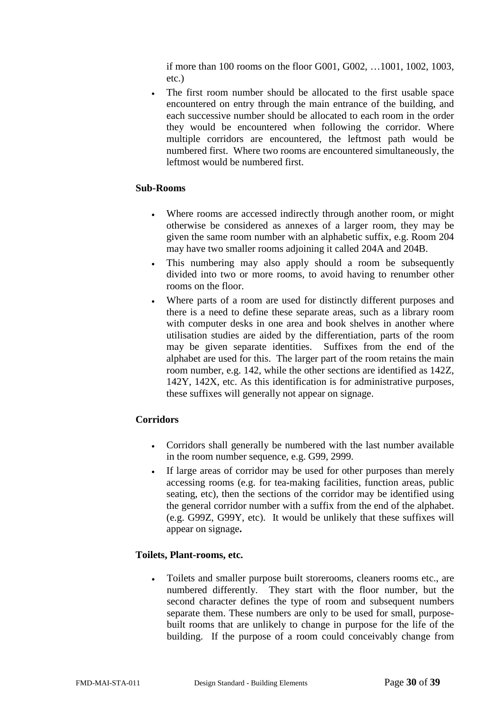if more than 100 rooms on the floor G001, G002, …1001, 1002, 1003, etc.)

The first room number should be allocated to the first usable space encountered on entry through the main entrance of the building, and each successive number should be allocated to each room in the order they would be encountered when following the corridor. Where multiple corridors are encountered, the leftmost path would be numbered first. Where two rooms are encountered simultaneously, the leftmost would be numbered first.

#### **Sub-Rooms**

- Where rooms are accessed indirectly through another room, or might otherwise be considered as annexes of a larger room, they may be given the same room number with an alphabetic suffix, e.g. Room 204 may have two smaller rooms adjoining it called 204A and 204B.
- This numbering may also apply should a room be subsequently divided into two or more rooms, to avoid having to renumber other rooms on the floor.
- Where parts of a room are used for distinctly different purposes and there is a need to define these separate areas, such as a library room with computer desks in one area and book shelves in another where utilisation studies are aided by the differentiation, parts of the room may be given separate identities. Suffixes from the end of the alphabet are used for this. The larger part of the room retains the main room number, e.g. 142, while the other sections are identified as 142Z, 142Y, 142X, etc. As this identification is for administrative purposes, these suffixes will generally not appear on signage.

#### **Corridors**

- Corridors shall generally be numbered with the last number available in the room number sequence, e.g. G99, 2999.
- If large areas of corridor may be used for other purposes than merely accessing rooms (e.g. for tea-making facilities, function areas, public seating, etc), then the sections of the corridor may be identified using the general corridor number with a suffix from the end of the alphabet. (e.g. G99Z, G99Y, etc). It would be unlikely that these suffixes will appear on signage**.**

#### **Toilets, Plant-rooms, etc.**

• Toilets and smaller purpose built storerooms, cleaners rooms etc., are numbered differently. They start with the floor number, but the second character defines the type of room and subsequent numbers separate them. These numbers are only to be used for small, purposebuilt rooms that are unlikely to change in purpose for the life of the building. If the purpose of a room could conceivably change from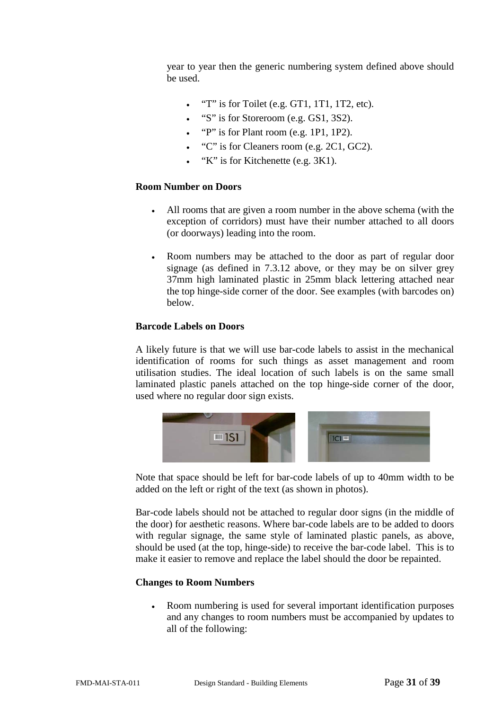year to year then the generic numbering system defined above should be used.

- "T" is for Toilet (e.g. GT1, 1T1, 1T2, etc).
- "S" is for Storeroom (e.g. GS1, 3S2).
- "P" is for Plant room (e.g. 1P1, 1P2).
- "C" is for Cleaners room (e.g. 2C1, GC2).
- "K" is for Kitchenette (e.g. 3K1).

#### **Room Number on Doors**

- All rooms that are given a room number in the above schema (with the exception of corridors) must have their number attached to all doors (or doorways) leading into the room.
- Room numbers may be attached to the door as part of regular door signage (as defined in 7.3.12 above, or they may be on silver grey 37mm high laminated plastic in 25mm black lettering attached near the top hinge-side corner of the door. See examples (with barcodes on) below.

#### **Barcode Labels on Doors**

A likely future is that we will use bar-code labels to assist in the mechanical identification of rooms for such things as asset management and room utilisation studies. The ideal location of such labels is on the same small laminated plastic panels attached on the top hinge-side corner of the door, used where no regular door sign exists.



Note that space should be left for bar-code labels of up to 40mm width to be added on the left or right of the text (as shown in photos).

Bar-code labels should not be attached to regular door signs (in the middle of the door) for aesthetic reasons. Where bar-code labels are to be added to doors with regular signage, the same style of laminated plastic panels, as above, should be used (at the top, hinge-side) to receive the bar-code label. This is to make it easier to remove and replace the label should the door be repainted.

#### **Changes to Room Numbers**

• Room numbering is used for several important identification purposes and any changes to room numbers must be accompanied by updates to all of the following: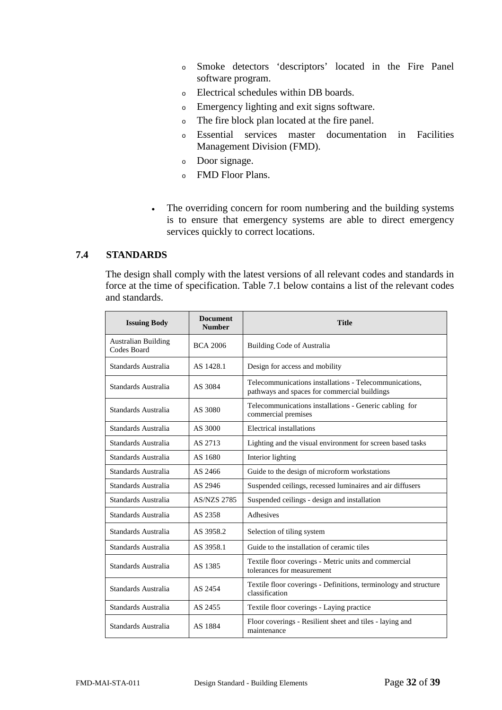- <sup>o</sup> Smoke detectors 'descriptors' located in the Fire Panel software program.
- <sup>o</sup> Electrical schedules within DB boards.
- <sup>o</sup> Emergency lighting and exit signs software.
- <sup>o</sup> The fire block plan located at the fire panel.
- <sup>o</sup> Essential services master documentation in Facilities Management Division (FMD).
- <sup>o</sup> Door signage.
- <sup>o</sup> FMD Floor Plans.
- The overriding concern for room numbering and the building systems is to ensure that emergency systems are able to direct emergency services quickly to correct locations.

# <span id="page-31-0"></span>**7.4 STANDARDS**

The design shall comply with the latest versions of all relevant codes and standards in force at the time of specification. Table 7.1 below contains a list of the relevant codes and standards.

| <b>Issuing Body</b>                       | <b>Document</b><br><b>Number</b> | <b>Title</b>                                                                                           |
|-------------------------------------------|----------------------------------|--------------------------------------------------------------------------------------------------------|
| <b>Australian Building</b><br>Codes Board | <b>BCA 2006</b>                  | Building Code of Australia                                                                             |
| Standards Australia                       | AS 1428.1                        | Design for access and mobility                                                                         |
| Standards Australia                       | AS 3084                          | Telecommunications installations - Telecommunications,<br>pathways and spaces for commercial buildings |
| Standards Australia                       | AS 3080                          | Telecommunications installations - Generic cabling for<br>commercial premises                          |
| Standards Australia                       | AS 3000                          | Electrical installations                                                                               |
| Standards Australia                       | AS 2713                          | Lighting and the visual environment for screen based tasks                                             |
| Standards Australia                       | AS 1680                          | Interior lighting                                                                                      |
| Standards Australia                       | AS 2466                          | Guide to the design of microform workstations                                                          |
| Standards Australia                       | AS 2946                          | Suspended ceilings, recessed luminaires and air diffusers                                              |
| Standards Australia                       | <b>AS/NZS 2785</b>               | Suspended ceilings - design and installation                                                           |
| Standards Australia                       | AS 2358                          | Adhesives                                                                                              |
| Standards Australia                       | AS 3958.2                        | Selection of tiling system                                                                             |
| Standards Australia                       | AS 3958.1                        | Guide to the installation of ceramic tiles                                                             |
| Standards Australia                       | AS 1385                          | Textile floor coverings - Metric units and commercial<br>tolerances for measurement                    |
| Standards Australia                       | AS 2454                          | Textile floor coverings - Definitions, terminology and structure<br>classification                     |
| Standards Australia                       | AS 2455                          | Textile floor coverings - Laying practice                                                              |
| Standards Australia                       | AS 1884                          | Floor coverings - Resilient sheet and tiles - laying and<br>maintenance                                |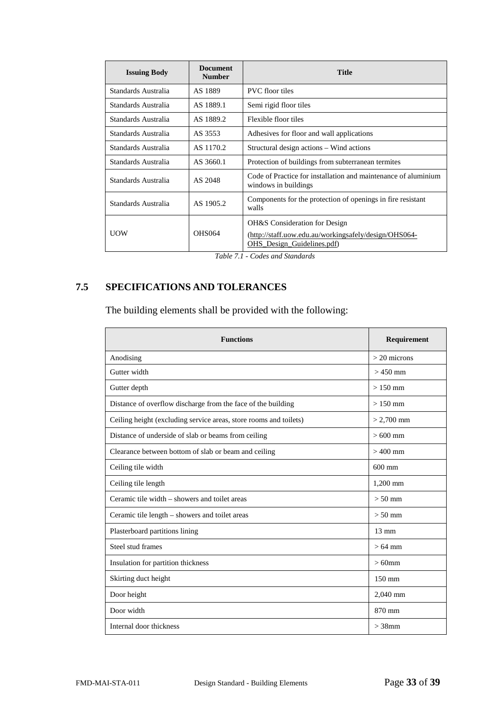| <b>Issuing Body</b> | <b>Document</b><br><b>Number</b> | <b>Title</b>                                                                                                                    |  |
|---------------------|----------------------------------|---------------------------------------------------------------------------------------------------------------------------------|--|
| Standards Australia | AS 1889                          | <b>PVC</b> floor tiles                                                                                                          |  |
| Standards Australia | AS 1889.1                        | Semi rigid floor tiles                                                                                                          |  |
| Standards Australia | AS 1889.2                        | Flexible floor tiles                                                                                                            |  |
| Standards Australia | AS 3553                          | Adhesives for floor and wall applications                                                                                       |  |
| Standards Australia | AS 1170.2                        | Structural design actions – Wind actions                                                                                        |  |
| Standards Australia | AS 3660.1                        | Protection of buildings from subterranean termites                                                                              |  |
| Standards Australia | AS 2048                          | Code of Practice for installation and maintenance of aluminium<br>windows in buildings                                          |  |
| Standards Australia | AS 1905.2                        | Components for the protection of openings in fire resistant<br>walls                                                            |  |
| <b>UOW</b>          | <b>OHS064</b>                    | <b>OH&amp;S</b> Consideration for Design<br>(http://staff.uow.edu.au/workingsafely/design/OHS064-<br>OHS Design Guidelines.pdf) |  |

*Table 7.1 - Codes and Standards*

# <span id="page-32-0"></span>**7.5 SPECIFICATIONS AND TOLERANCES**

The building elements shall be provided with the following:

| <b>Functions</b>                                                  | Requirement     |
|-------------------------------------------------------------------|-----------------|
| Anodising                                                         | $>$ 20 microns  |
| Gutter width                                                      | $> 450$ mm      |
| Gutter depth                                                      | $>150$ mm       |
| Distance of overflow discharge from the face of the building      | $>150$ mm       |
| Ceiling height (excluding service areas, store rooms and toilets) | $> 2,700$ mm    |
| Distance of underside of slab or beams from ceiling               | $>600$ mm       |
| Clearance between bottom of slab or beam and ceiling              | $>400$ mm       |
| Ceiling tile width                                                | $600$ mm        |
| Ceiling tile length                                               | $1,200$ mm      |
| Ceramic tile width – showers and toilet areas                     | $> 50$ mm       |
| Ceramic tile length - showers and toilet areas                    | $> 50$ mm       |
| Plasterboard partitions lining                                    | $13 \text{ mm}$ |
| Steel stud frames                                                 | $>64$ mm        |
| Insulation for partition thickness                                | $>60$ mm        |
| Skirting duct height                                              | 150 mm          |
| Door height                                                       | 2,040 mm        |
| Door width                                                        | 870 mm          |
| Internal door thickness                                           | $>$ 38 $mm$     |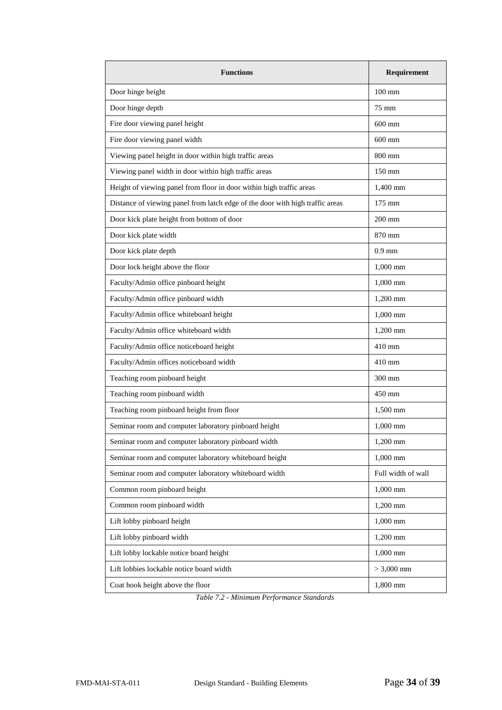| <b>Functions</b>                                                              | Requirement        |
|-------------------------------------------------------------------------------|--------------------|
| Door hinge height                                                             | $100 \text{ mm}$   |
| Door hinge depth                                                              | 75 mm              |
| Fire door viewing panel height                                                | $600 \text{ mm}$   |
| Fire door viewing panel width                                                 | $600$ mm           |
| Viewing panel height in door within high traffic areas                        | 800 mm             |
| Viewing panel width in door within high traffic areas                         | 150 mm             |
| Height of viewing panel from floor in door within high traffic areas          | 1,400 mm           |
| Distance of viewing panel from latch edge of the door with high traffic areas | 175 mm             |
| Door kick plate height from bottom of door                                    | $200$ mm           |
| Door kick plate width                                                         | 870 mm             |
| Door kick plate depth                                                         | $0.9$ mm           |
| Door lock height above the floor                                              | 1,000 mm           |
| Faculty/Admin office pinboard height                                          | 1,000 mm           |
| Faculty/Admin office pinboard width                                           | 1,200 mm           |
| Faculty/Admin office whiteboard height                                        | 1,000 mm           |
| Faculty/Admin office whiteboard width                                         | 1,200 mm           |
| Faculty/Admin office noticeboard height                                       | 410 mm             |
| Faculty/Admin offices noticeboard width                                       | 410 mm             |
| Teaching room pinboard height                                                 | 300 mm             |
| Teaching room pinboard width                                                  | 450 mm             |
| Teaching room pinboard height from floor                                      | 1,500 mm           |
| Seminar room and computer laboratory pinboard height                          | 1,000 mm           |
| Seminar room and computer laboratory pinboard width                           | 1,200 mm           |
| Seminar room and computer laboratory whiteboard height                        | 1,000 mm           |
| Seminar room and computer laboratory whiteboard width                         | Full width of wall |
| Common room pinboard height                                                   | 1,000 mm           |
| Common room pinboard width                                                    | 1,200 mm           |
| Lift lobby pinboard height                                                    | 1,000 mm           |
| Lift lobby pinboard width                                                     | 1,200 mm           |
| Lift lobby lockable notice board height                                       | 1,000 mm           |
| Lift lobbies lockable notice board width                                      | $> 3,000$ mm       |
| Coat hook height above the floor                                              | 1,800 mm           |

*Table 7.2 - Minimum Performance Standards*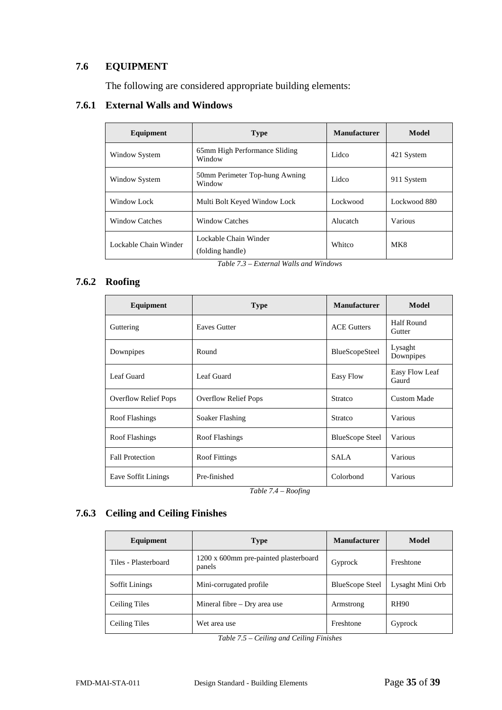# <span id="page-34-0"></span>**7.6 EQUIPMENT**

The following are considered appropriate building elements:

# <span id="page-34-1"></span>**7.6.1 External Walls and Windows**

| Equipment             | <b>Type</b>                               | <b>Manufacturer</b> | Model        |
|-----------------------|-------------------------------------------|---------------------|--------------|
| Window System         | 65mm High Performance Sliding<br>Window   | Lidco               | 421 System   |
| Window System         | 50mm Perimeter Top-hung Awning<br>Window  | Lidco               | 911 System   |
| Window Lock           | Multi Bolt Keyed Window Lock              | Lockwood            | Lockwood 880 |
| <b>Window Catches</b> | <b>Window Catches</b>                     | Alucatch            | Various      |
| Lockable Chain Winder | Lockable Chain Winder<br>(folding handle) | Whitco              | MK8          |

*Table 7.3 – External Walls and Windows*

# <span id="page-34-2"></span>**7.6.2 Roofing**

| Equipment                   | <b>Type</b>                 | <b>Manufacturer</b>    | Model                   |
|-----------------------------|-----------------------------|------------------------|-------------------------|
| Guttering                   | <b>Eaves Gutter</b>         | <b>ACE Gutters</b>     | Half Round<br>Gutter    |
| Downpipes                   | Round                       | BlueScopeSteel         | Lysaght<br>Downpipes    |
| Leaf Guard                  | Leaf Guard                  | Easy Flow              | Easy Flow Leaf<br>Gaurd |
| <b>Overflow Relief Pops</b> | <b>Overflow Relief Pops</b> | Stratco                | <b>Custom Made</b>      |
| <b>Roof Flashings</b>       | Soaker Flashing             | <b>Stratco</b>         | Various                 |
| Roof Flashings              | Roof Flashings              | <b>BlueScope Steel</b> | Various                 |
| <b>Fall Protection</b>      | <b>Roof Fittings</b>        | <b>SALA</b>            | Various                 |
| Eave Soffit Linings         | Pre-finished                | Colorbond              | Various                 |

*Table 7.4 – Roofing*

# <span id="page-34-3"></span>**7.6.3 Ceiling and Ceiling Finishes**

| Equipment             | <b>Type</b>                                     | <b>Manufacturer</b>    | Model            |
|-----------------------|-------------------------------------------------|------------------------|------------------|
| Tiles - Plasterboard  | 1200 x 600mm pre-painted plasterboard<br>panels | Gyprock                | Freshtone        |
| <b>Soffit Linings</b> | Mini-corrugated profile.                        | <b>BlueScope Steel</b> | Lysaght Mini Orb |
| Ceiling Tiles         | Mineral fibre $-$ Dry area use                  | Armstrong              | <b>RH90</b>      |
| Ceiling Tiles         | Wet area use                                    | Freshtone              | Gyprock          |

*Table 7.5 – Ceiling and Ceiling Finishes*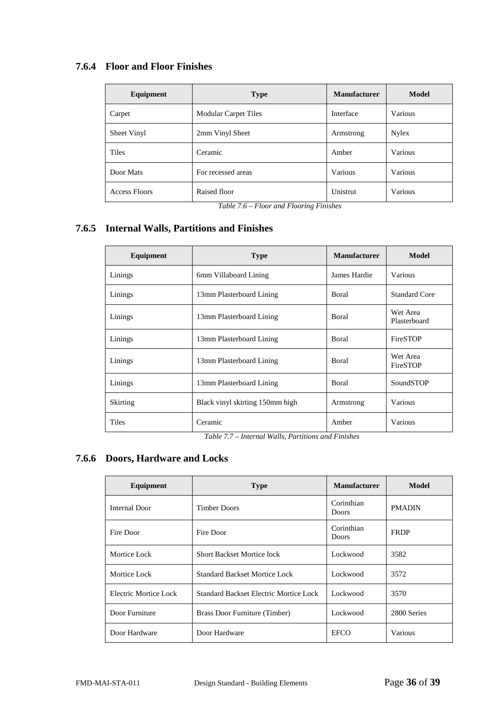# <span id="page-35-0"></span>**7.6.4 Floor and Floor Finishes**

| Equipment            | <b>Type</b>                 | <b>Manufacturer</b> | Model   |
|----------------------|-----------------------------|---------------------|---------|
| Carpet               | <b>Modular Carpet Tiles</b> | Interface           | Various |
| Sheet Vinyl          | 2mm Vinyl Sheet             | Armstrong           | Nylex   |
| <b>Tiles</b>         | Ceramic                     | Amber               | Various |
| Door Mats            | For recessed areas          | Various             | Various |
| <b>Access Floors</b> | Raised floor                | Unistrut            | Various |

*Table 7.6 – Floor and Flooring Finishes*

# <span id="page-35-1"></span>**7.6.5 Internal Walls, Partitions and Finishes**

| Equipment       | <b>Type</b>                     | <b>Manufacturer</b> | Model                    |
|-----------------|---------------------------------|---------------------|--------------------------|
| Linings         | 6mm Villaboard Lining           | James Hardie        | Various                  |
| Linings         | 13mm Plasterboard Lining        | Boral               | <b>Standard Core</b>     |
| Linings         | 13mm Plasterboard Lining        | <b>B</b> oral       | Wet Area<br>Plasterboard |
| Linings         | 13mm Plasterboard Lining        | Boral               | FireSTOP                 |
| Linings         | 13mm Plasterboard Lining        | Boral               | Wet Area<br>FireSTOP     |
| Linings         | 13mm Plasterboard Lining        | Boral               | SoundSTOP                |
| <b>Skirting</b> | Black vinyl skirting 150mm high | Armstrong           | Various                  |
| <b>Tiles</b>    | Ceramic                         | Amber               | Various                  |

*Table 7.7 – Internal Walls, Partitions and Finishes*

# <span id="page-35-2"></span>**7.6.6 Doors, Hardware and Locks**

| Equipment             | <b>Type</b>                            | <b>Manufacturer</b>        | Model         |
|-----------------------|----------------------------------------|----------------------------|---------------|
| Internal Door         | <b>Timber Doors</b>                    | Corinthian<br><b>Doors</b> | <b>PMADIN</b> |
| Fire Door             | Fire Door                              | Corinthian<br><b>Doors</b> | <b>FRDP</b>   |
| Mortice Lock          | <b>Short Backset Mortice lock</b>      | Lockwood                   | 3582          |
| Mortice Lock          | <b>Standard Backset Mortice Lock</b>   | Lockwood                   | 3572          |
| Electric Mortice Lock | Standard Backset Electric Mortice Lock | Lockwood                   | 3570          |
| Door Furniture        | Brass Door Furniture (Timber)          | Lockwood                   | 2800 Series   |
| Door Hardware         | Door Hardware                          | <b>EFCO</b>                | Various       |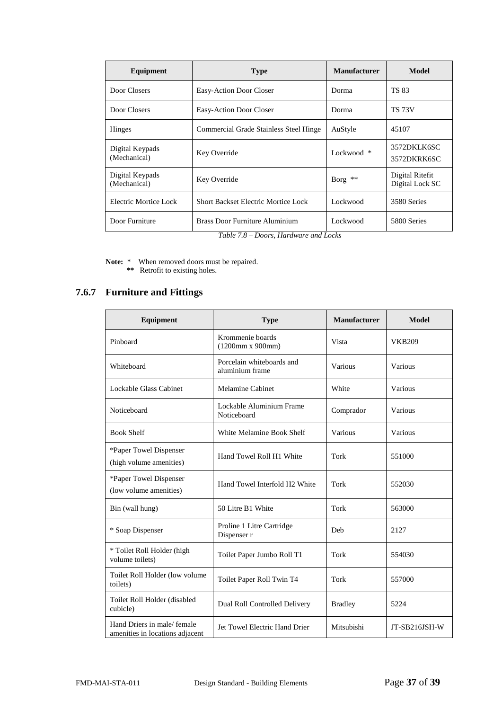| Equipment                       | <b>Type</b>                                                                                                                                                                            | <b>Manufacturer</b> | <b>Model</b>                       |
|---------------------------------|----------------------------------------------------------------------------------------------------------------------------------------------------------------------------------------|---------------------|------------------------------------|
| Door Closers                    | Easy-Action Door Closer                                                                                                                                                                | Dorma               | <b>TS 83</b>                       |
| Door Closers                    | Easy-Action Door Closer                                                                                                                                                                | Dorma               | <b>TS 73V</b>                      |
| Hinges                          | Commercial Grade Stainless Steel Hinge                                                                                                                                                 | AuStyle             | 45107                              |
| Digital Keypads<br>(Mechanical) | Key Override                                                                                                                                                                           | Lockwood *          | 3572DKLK6SC<br>3572DKRK6SC         |
| Digital Keypads<br>(Mechanical) | Key Override                                                                                                                                                                           | Borg **             | Digital Ritefit<br>Digital Lock SC |
| Electric Mortice Lock           | <b>Short Backset Electric Mortice Lock</b>                                                                                                                                             | Lockwood            | 3580 Series                        |
| Door Furniture                  | <b>Brass Door Furniture Aluminium</b><br>$T_{\rm eff}$ , $T_{\rm eff}$ , $T_{\rm eff}$ , $T_{\rm eff}$ , $T_{\rm eff}$ , $T_{\rm eff}$ , $T_{\rm eff}$ , $T_{\rm eff}$ , $T_{\rm eff}$ | Lockwood            | 5800 Series                        |

*Table 7.8 – Doors, Hardware and Locks*

**Note:** \* When removed doors must be repaired.  **\*\*** Retrofit to existing holes.

# <span id="page-36-0"></span>**7.6.7 Furniture and Fittings**

| Equipment                                                     | <b>Type</b>                                  | <b>Manufacturer</b> | <b>Model</b>  |
|---------------------------------------------------------------|----------------------------------------------|---------------------|---------------|
| Pinboard                                                      | Krommenie boards<br>(1200mm x 900mm)         | Vista               | <b>VKB209</b> |
| Whiteboard                                                    | Porcelain whiteboards and<br>aluminium frame | Various             | Various       |
| Lockable Glass Cabinet                                        | <b>Melamine Cabinet</b>                      | White               | Various       |
| Noticeboard                                                   | Lockable Aluminium Frame<br>Noticeboard      | Comprador           | Various       |
| <b>Book Shelf</b>                                             | White Melamine Book Shelf                    | Various             | Various       |
| *Paper Towel Dispenser<br>(high volume amenities)             | Hand Towel Roll H1 White                     | Tork                | 551000        |
| *Paper Towel Dispenser<br>(low volume amenities)              | Hand Towel Interfold H2 White                | Tork                | 552030        |
| Bin (wall hung)                                               | 50 Litre B1 White                            | <b>Tork</b>         | 563000        |
| * Soap Dispenser                                              | Proline 1 Litre Cartridge<br>Dispenser r     | Deb                 | 2127          |
| * Toilet Roll Holder (high<br>volume toilets)                 | Toilet Paper Jumbo Roll T1                   | Tork                | 554030        |
| Toilet Roll Holder (low volume<br>toilets)                    | Toilet Paper Roll Twin T4                    | Tork                | 557000        |
| Toilet Roll Holder (disabled<br>cubicle)                      | Dual Roll Controlled Delivery                | <b>Bradley</b>      | 5224          |
| Hand Driers in male/female<br>amenities in locations adjacent | Jet Towel Electric Hand Drier                | Mitsubishi          | JT-SB216JSH-W |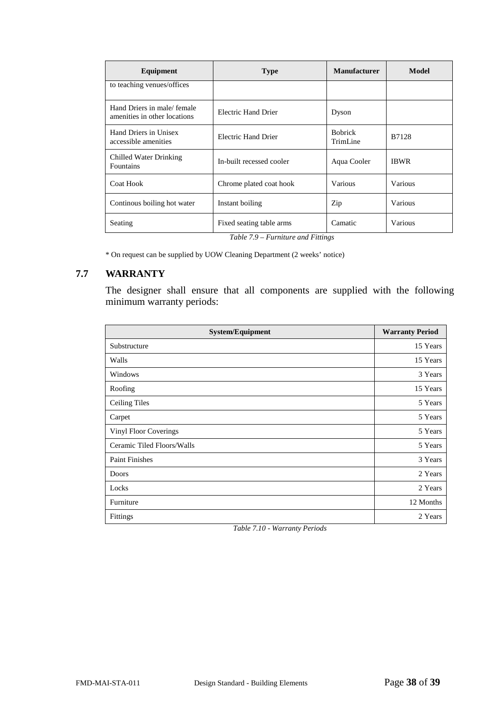| Equipment                                                  | <b>Type</b>                                                                                                                                                                                                                                               | <b>Manufacturer</b>        | Model       |
|------------------------------------------------------------|-----------------------------------------------------------------------------------------------------------------------------------------------------------------------------------------------------------------------------------------------------------|----------------------------|-------------|
| to teaching venues/offices                                 |                                                                                                                                                                                                                                                           |                            |             |
| Hand Driers in male/female<br>amenities in other locations | Electric Hand Drier                                                                                                                                                                                                                                       | Dyson                      |             |
| Hand Driers in Unisex<br>accessible amenities              | Electric Hand Drier                                                                                                                                                                                                                                       | <b>Bobrick</b><br>TrimLine | B7128       |
| Chilled Water Drinking<br>Fountains                        | In-built recessed cooler                                                                                                                                                                                                                                  | Aqua Cooler                | <b>IBWR</b> |
| Coat Hook                                                  | Chrome plated coat hook                                                                                                                                                                                                                                   | Various                    | Various     |
| Continous boiling hot water                                | Instant boiling                                                                                                                                                                                                                                           | Zip                        | Various     |
| Seating                                                    | Fixed seating table arms<br>$T_2$ $I_2$ $I_3$ $I_4$ $I_5$ $I_6$ $I_7$ $I_7$ $I_8$ $I_7$ $I_8$ $I_9$ $I_9$ $I_9$ $I_9$ $I_9$ $I_9$ $I_9$ $I_9$ $I_9$ $I_9$ $I_9$ $I_9$ $I_9$ $I_9$ $I_9$ $I_9$ $I_9$ $I_9$ $I_9$ $I_9$ $I_9$ $I_9$ $I_9$ $I_9$ $I_9$ $I_9$ | Camatic                    | Various     |

*Table 7.9 – Furniture and Fittings*

\* On request can be supplied by UOW Cleaning Department (2 weeks' notice)

# <span id="page-37-0"></span>**7.7 WARRANTY**

The designer shall ensure that all components are supplied with the following minimum warranty periods:

| <b>System/Equipment</b>    | <b>Warranty Period</b> |
|----------------------------|------------------------|
| Substructure               | 15 Years               |
| Walls                      | 15 Years               |
| Windows                    | 3 Years                |
| Roofing                    | 15 Years               |
| Ceiling Tiles              | 5 Years                |
| Carpet                     | 5 Years                |
| Vinyl Floor Coverings      | 5 Years                |
| Ceramic Tiled Floors/Walls | 5 Years                |
| <b>Paint Finishes</b>      | 3 Years                |
| Doors                      | 2 Years                |
| Locks                      | 2 Years                |
| Furniture                  | 12 Months              |
| Fittings                   | 2 Years                |

*Table 7.10 - Warranty Periods*